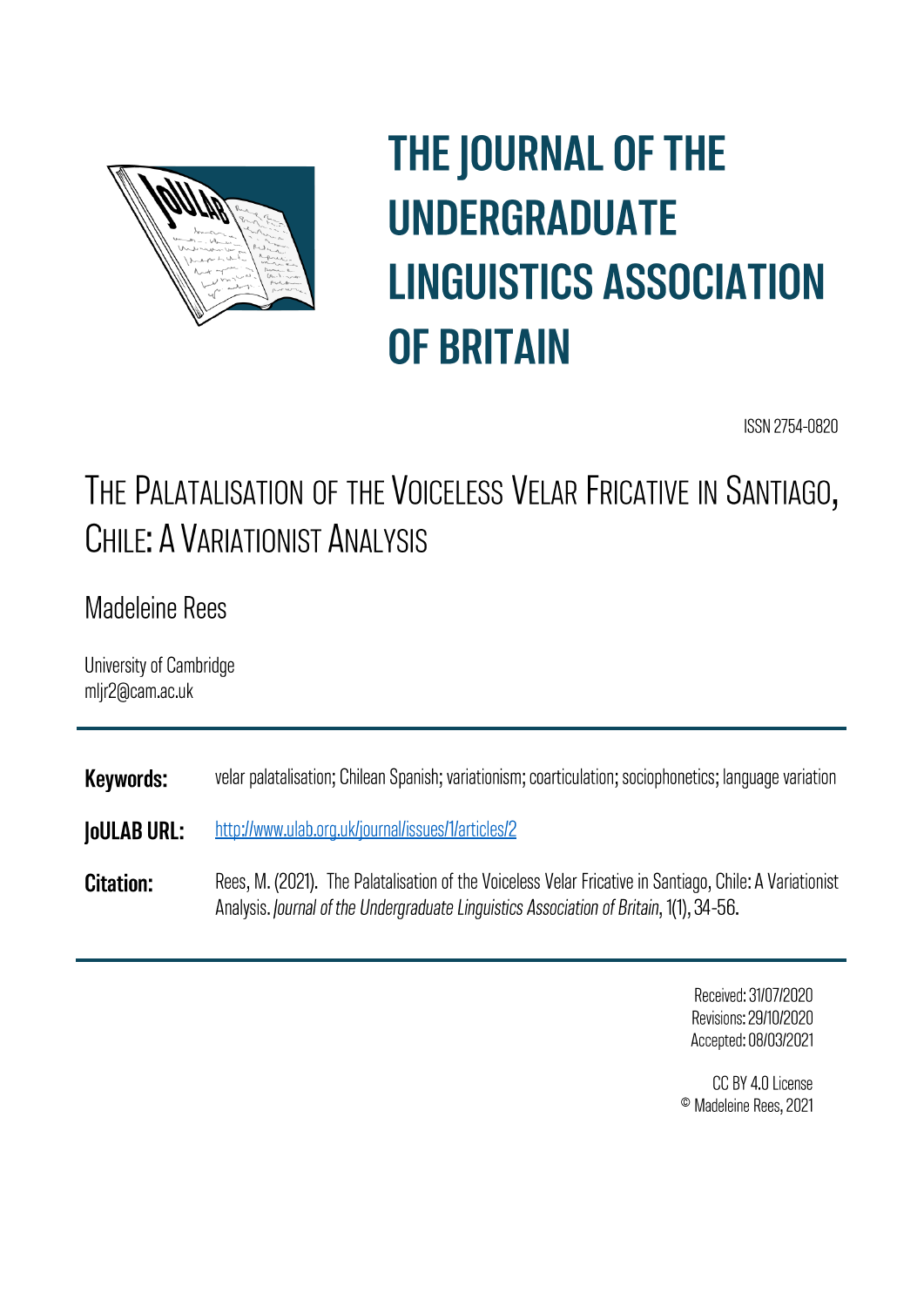

# **THE JOURNAL OF THE UNDERGRADUATE LINGUISTICS ASSOCIATION OF BRITAIN**

ISSN 2754-0820

## THE PALATALISATION OF THE VOICELESS VELAR FRICATIVE IN SANTIAGO, CHILF: A VARIATIONIST ANALYSIS

## **Madeleine Rees**

University of Cambridge mljr2@cam.ac.uk

**Keywords:** velar palatalisation; Chilean Spanish; variationism; coarticulation; sociophonetics; language variation

- **JoULAB URL:** http://www.ulab.org.uk/journal/issues/1/articles/2
- Rees, M. (2021). The Palatalisation of the Voiceless Velar Fricative in Santiago, Chile: A Variationist **Citation:** Analysis. Journal of the Undergraduate Linguistics Association of Britain, 1(1), 34-56.

Received: 31/07/2020 Revisions: 29/10/2020 Accepted: 08/03/2021

CC BY 4.0 License <sup>©</sup> Madeleine Rees, 2021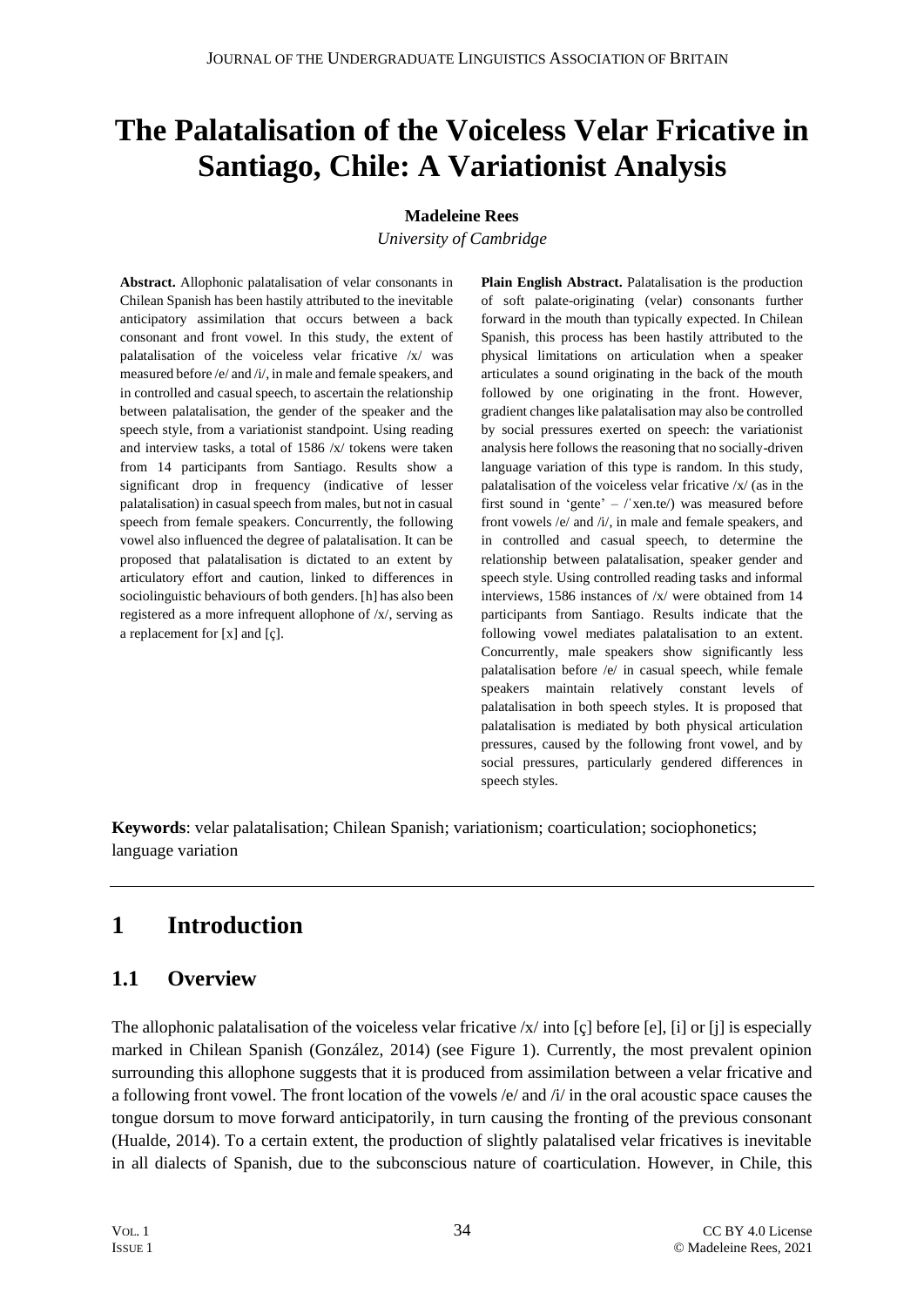## **The Palatalisation of the Voiceless Velar Fricative in Santiago, Chile: A Variationist Analysis**

#### **Madeleine Rees**

*University of Cambridge*

**Abstract.** Allophonic palatalisation of velar consonants in Chilean Spanish has been hastily attributed to the inevitable anticipatory assimilation that occurs between a back consonant and front vowel. In this study, the extent of palatalisation of the voiceless velar fricative /x/ was measured before /e/ and /i/, in male and female speakers, and in controlled and casual speech, to ascertain the relationship between palatalisation, the gender of the speaker and the speech style, from a variationist standpoint. Using reading and interview tasks, a total of 1586 /x/ tokens were taken from 14 participants from Santiago. Results show a significant drop in frequency (indicative of lesser palatalisation) in casual speech from males, but not in casual speech from female speakers. Concurrently, the following vowel also influenced the degree of palatalisation. It can be proposed that palatalisation is dictated to an extent by articulatory effort and caution, linked to differences in sociolinguistic behaviours of both genders. [h] has also been registered as a more infrequent allophone of /x/, serving as a replacement for  $[x]$  and  $[c]$ .

**Plain English Abstract.** Palatalisation is the production of soft palate-originating (velar) consonants further forward in the mouth than typically expected. In Chilean Spanish, this process has been hastily attributed to the physical limitations on articulation when a speaker articulates a sound originating in the back of the mouth followed by one originating in the front. However, gradient changes like palatalisation may also be controlled by social pressures exerted on speech: the variationist analysis here follows the reasoning that no socially-driven language variation of this type is random. In this study, palatalisation of the voiceless velar fricative /x/ (as in the first sound in 'gente' – /ˈxen.te/) was measured before front vowels /e/ and /i/, in male and female speakers, and in controlled and casual speech, to determine the relationship between palatalisation, speaker gender and speech style. Using controlled reading tasks and informal interviews, 1586 instances of /x/ were obtained from 14 participants from Santiago. Results indicate that the following vowel mediates palatalisation to an extent. Concurrently, male speakers show significantly less palatalisation before /e/ in casual speech, while female speakers maintain relatively constant levels of palatalisation in both speech styles. It is proposed that palatalisation is mediated by both physical articulation pressures, caused by the following front vowel, and by social pressures, particularly gendered differences in speech styles.

**Keywords**: velar palatalisation; Chilean Spanish; variationism; coarticulation; sociophonetics; language variation

## **1 Introduction**

#### **1.1 Overview**

The allophonic palatalisation of the voiceless velar fricative  $x/$  into  $\lceil c \rceil$  before  $\lceil e \rceil$ ,  $\lceil i \rceil$  or  $\lceil i \rceil$  is especially marked in Chilean Spanish (González, 2014) (see Figure 1). Currently, the most prevalent opinion surrounding this allophone suggests that it is produced from assimilation between a velar fricative and a following front vowel. The front location of the vowels /e/ and /i/ in the oral acoustic space causes the tongue dorsum to move forward anticipatorily, in turn causing the fronting of the previous consonant (Hualde, 2014). To a certain extent, the production of slightly palatalised velar fricatives is inevitable in all dialects of Spanish, due to the subconscious nature of coarticulation. However, in Chile, this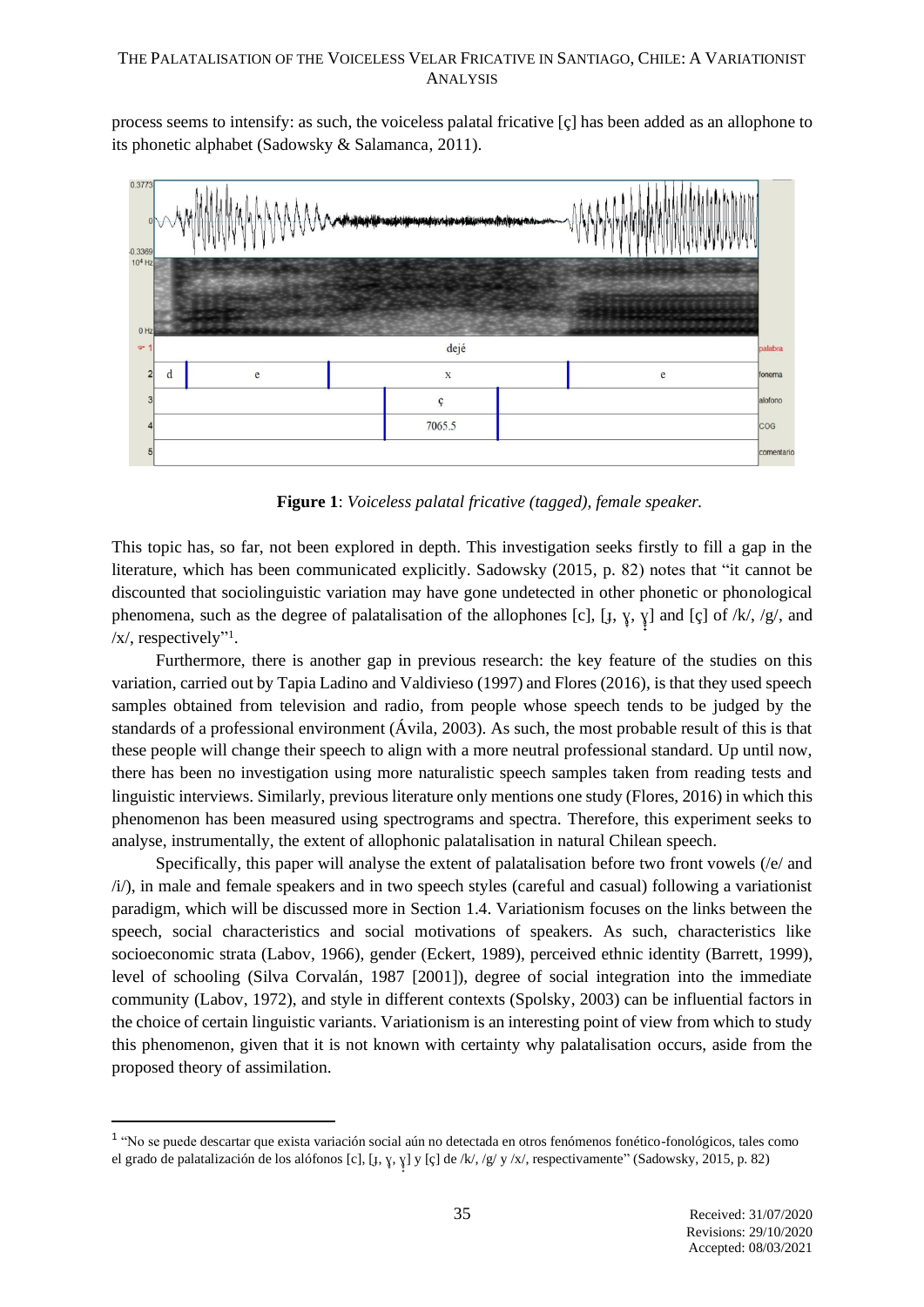process seems to intensify: as such, the voiceless palatal fricative [ç] has been added as an allophone to its phonetic alphabet (Sadowsky & Salamanca, 2011).



**Figure 1**: *Voiceless palatal fricative (tagged), female speaker.*

This topic has, so far, not been explored in depth. This investigation seeks firstly to fill a gap in the literature, which has been communicated explicitly. Sadowsky (2015, p. 82) notes that "it cannot be discounted that sociolinguistic variation may have gone undetected in other phonetic or phonological phenomena, such as the degree of palatalisation of the allophones [c], [J,  $\gamma$ ,  $\gamma$ ] and [ç] of /k/, /g/, and ̞̟ /x/, respectively"<sup>1</sup>.

Furthermore, there is another gap in previous research: the key feature of the studies on this variation, carried out by Tapia Ladino and Valdivieso (1997) and Flores (2016), is that they used speech samples obtained from television and radio, from people whose speech tends to be judged by the standards of a professional environment (Ávila, 2003). As such, the most probable result of this is that these people will change their speech to align with a more neutral professional standard. Up until now, there has been no investigation using more naturalistic speech samples taken from reading tests and linguistic interviews. Similarly, previous literature only mentions one study (Flores, 2016) in which this phenomenon has been measured using spectrograms and spectra. Therefore, this experiment seeks to analyse, instrumentally, the extent of allophonic palatalisation in natural Chilean speech.

Specifically, this paper will analyse the extent of palatalisation before two front vowels (/e/ and /i/), in male and female speakers and in two speech styles (careful and casual) following a variationist paradigm, which will be discussed more in Section 1.4. Variationism focuses on the links between the speech, social characteristics and social motivations of speakers. As such, characteristics like socioeconomic strata (Labov, 1966), gender (Eckert, 1989), perceived ethnic identity (Barrett, 1999), level of schooling (Silva Corvalán, 1987 [2001]), degree of social integration into the immediate community (Labov, 1972), and style in different contexts (Spolsky, 2003) can be influential factors in the choice of certain linguistic variants. Variationism is an interesting point of view from which to study this phenomenon, given that it is not known with certainty why palatalisation occurs, aside from the proposed theory of assimilation.

<sup>&</sup>lt;sup>1</sup> "No se puede descartar que exista variación social aún no detectada en otros fenómenos fonético-fonológicos, tales como el grado de palatalización de los alófonos [c], [ɟ, ɣ, ɣ] y [ç] de /k/, /g/ y /x/, respectivamente" (Sadowsky, 2015, p. 82) ̞̟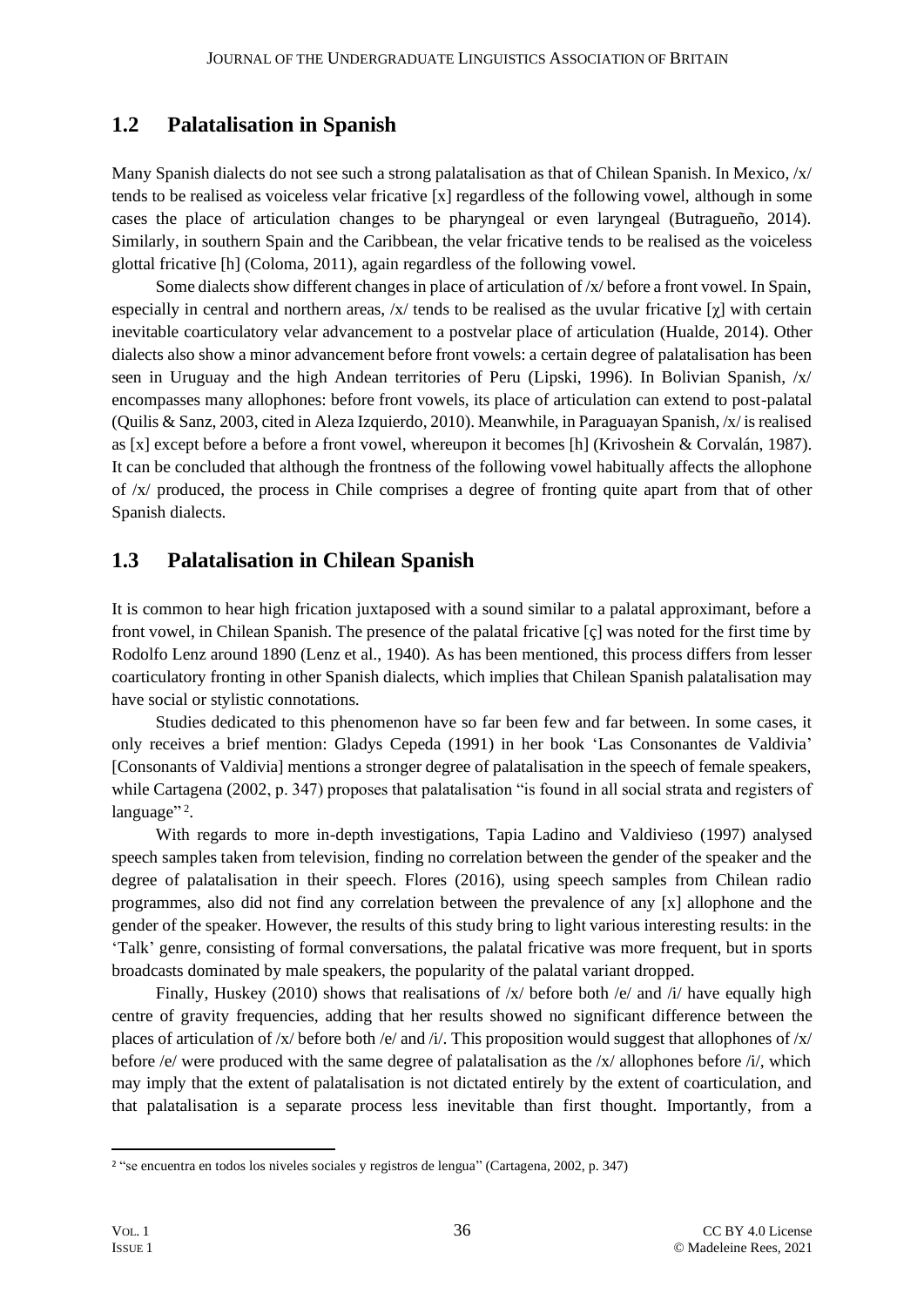#### **1.2 Palatalisation in Spanish**

Many Spanish dialects do not see such a strong palatalisation as that of Chilean Spanish. In Mexico, /x/ tends to be realised as voiceless velar fricative [x] regardless of the following vowel, although in some cases the place of articulation changes to be pharyngeal or even laryngeal (Butragueño, 2014). Similarly, in southern Spain and the Caribbean, the velar fricative tends to be realised as the voiceless glottal fricative [h] (Coloma, 2011), again regardless of the following vowel.

Some dialects show different changes in place of articulation of /x/ before a front vowel. In Spain, especially in central and northern areas,  $\chi/\chi$  tends to be realised as the uvular fricative [ $\chi$ ] with certain inevitable coarticulatory velar advancement to a postvelar place of articulation (Hualde, 2014). Other dialects also show a minor advancement before front vowels: a certain degree of palatalisation has been seen in Uruguay and the high Andean territories of Peru (Lipski, 1996). In Bolivian Spanish, /x/ encompasses many allophones: before front vowels, its place of articulation can extend to post-palatal (Quilis & Sanz, 2003, cited in Aleza Izquierdo, 2010). Meanwhile, in Paraguayan Spanish, /x/ is realised as [x] except before a before a front vowel, whereupon it becomes [h] (Krivoshein & Corvalán, 1987). It can be concluded that although the frontness of the following vowel habitually affects the allophone of /x/ produced, the process in Chile comprises a degree of fronting quite apart from that of other Spanish dialects.

#### **1.3 Palatalisation in Chilean Spanish**

It is common to hear high frication juxtaposed with a sound similar to a palatal approximant, before a front vowel, in Chilean Spanish. The presence of the palatal fricative [ç] was noted for the first time by Rodolfo Lenz around 1890 (Lenz et al., 1940). As has been mentioned, this process differs from lesser coarticulatory fronting in other Spanish dialects, which implies that Chilean Spanish palatalisation may have social or stylistic connotations.

Studies dedicated to this phenomenon have so far been few and far between. In some cases, it only receives a brief mention: Gladys Cepeda (1991) in her book 'Las Consonantes de Valdivia' [Consonants of Valdivia] mentions a stronger degree of palatalisation in the speech of female speakers, while Cartagena (2002, p. 347) proposes that palatalisation "is found in all social strata and registers of language"<sup>2</sup>.

With regards to more in-depth investigations, Tapia Ladino and Valdivieso (1997) analysed speech samples taken from television, finding no correlation between the gender of the speaker and the degree of palatalisation in their speech. Flores (2016), using speech samples from Chilean radio programmes, also did not find any correlation between the prevalence of any [x] allophone and the gender of the speaker. However, the results of this study bring to light various interesting results: in the 'Talk' genre, consisting of formal conversations, the palatal fricative was more frequent, but in sports broadcasts dominated by male speakers, the popularity of the palatal variant dropped.

Finally, Huskey (2010) shows that realisations of  $/x$  before both /e/ and /i/ have equally high centre of gravity frequencies, adding that her results showed no significant difference between the places of articulation of /x/ before both /e/ and /i/. This proposition would suggest that allophones of /x/ before /e/ were produced with the same degree of palatalisation as the /x/ allophones before /i/, which may imply that the extent of palatalisation is not dictated entirely by the extent of coarticulation, and that palatalisation is a separate process less inevitable than first thought. Importantly, from a

<sup>2</sup> "se encuentra en todos los niveles sociales y registros de lengua" (Cartagena, 2002, p. 347)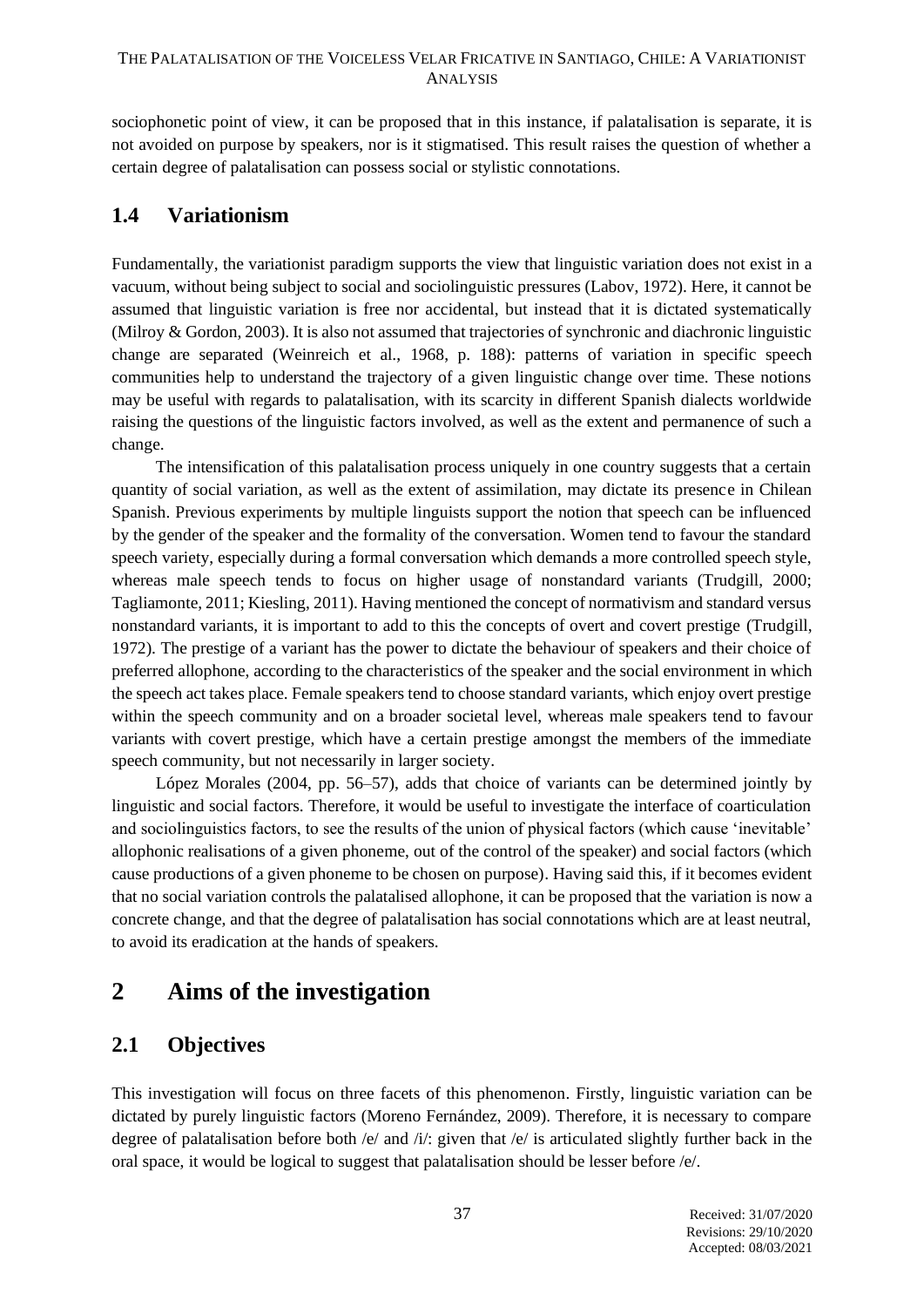sociophonetic point of view, it can be proposed that in this instance, if palatalisation is separate, it is not avoided on purpose by speakers, nor is it stigmatised. This result raises the question of whether a certain degree of palatalisation can possess social or stylistic connotations.

#### **1.4 Variationism**

Fundamentally, the variationist paradigm supports the view that linguistic variation does not exist in a vacuum, without being subject to social and sociolinguistic pressures (Labov, 1972). Here, it cannot be assumed that linguistic variation is free nor accidental, but instead that it is dictated systematically (Milroy & Gordon, 2003). It is also not assumed that trajectories of synchronic and diachronic linguistic change are separated (Weinreich et al., 1968, p. 188): patterns of variation in specific speech communities help to understand the trajectory of a given linguistic change over time. These notions may be useful with regards to palatalisation, with its scarcity in different Spanish dialects worldwide raising the questions of the linguistic factors involved, as well as the extent and permanence of such a change.

The intensification of this palatalisation process uniquely in one country suggests that a certain quantity of social variation, as well as the extent of assimilation, may dictate its presence in Chilean Spanish. Previous experiments by multiple linguists support the notion that speech can be influenced by the gender of the speaker and the formality of the conversation. Women tend to favour the standard speech variety, especially during a formal conversation which demands a more controlled speech style, whereas male speech tends to focus on higher usage of nonstandard variants (Trudgill, 2000; Tagliamonte, 2011; Kiesling, 2011). Having mentioned the concept of normativism and standard versus nonstandard variants, it is important to add to this the concepts of overt and covert prestige (Trudgill, 1972). The prestige of a variant has the power to dictate the behaviour of speakers and their choice of preferred allophone, according to the characteristics of the speaker and the social environment in which the speech act takes place. Female speakers tend to choose standard variants, which enjoy overt prestige within the speech community and on a broader societal level, whereas male speakers tend to favour variants with covert prestige, which have a certain prestige amongst the members of the immediate speech community, but not necessarily in larger society.

López Morales (2004, pp. 56–57), adds that choice of variants can be determined jointly by linguistic and social factors. Therefore, it would be useful to investigate the interface of coarticulation and sociolinguistics factors, to see the results of the union of physical factors (which cause 'inevitable' allophonic realisations of a given phoneme, out of the control of the speaker) and social factors (which cause productions of a given phoneme to be chosen on purpose). Having said this, if it becomes evident that no social variation controls the palatalised allophone, it can be proposed that the variation is now a concrete change, and that the degree of palatalisation has social connotations which are at least neutral, to avoid its eradication at the hands of speakers.

## **2 Aims of the investigation**

#### **2.1 Objectives**

This investigation will focus on three facets of this phenomenon. Firstly, linguistic variation can be dictated by purely linguistic factors (Moreno Fernández, 2009). Therefore, it is necessary to compare degree of palatalisation before both /e/ and /i/: given that /e/ is articulated slightly further back in the oral space, it would be logical to suggest that palatalisation should be lesser before /e/.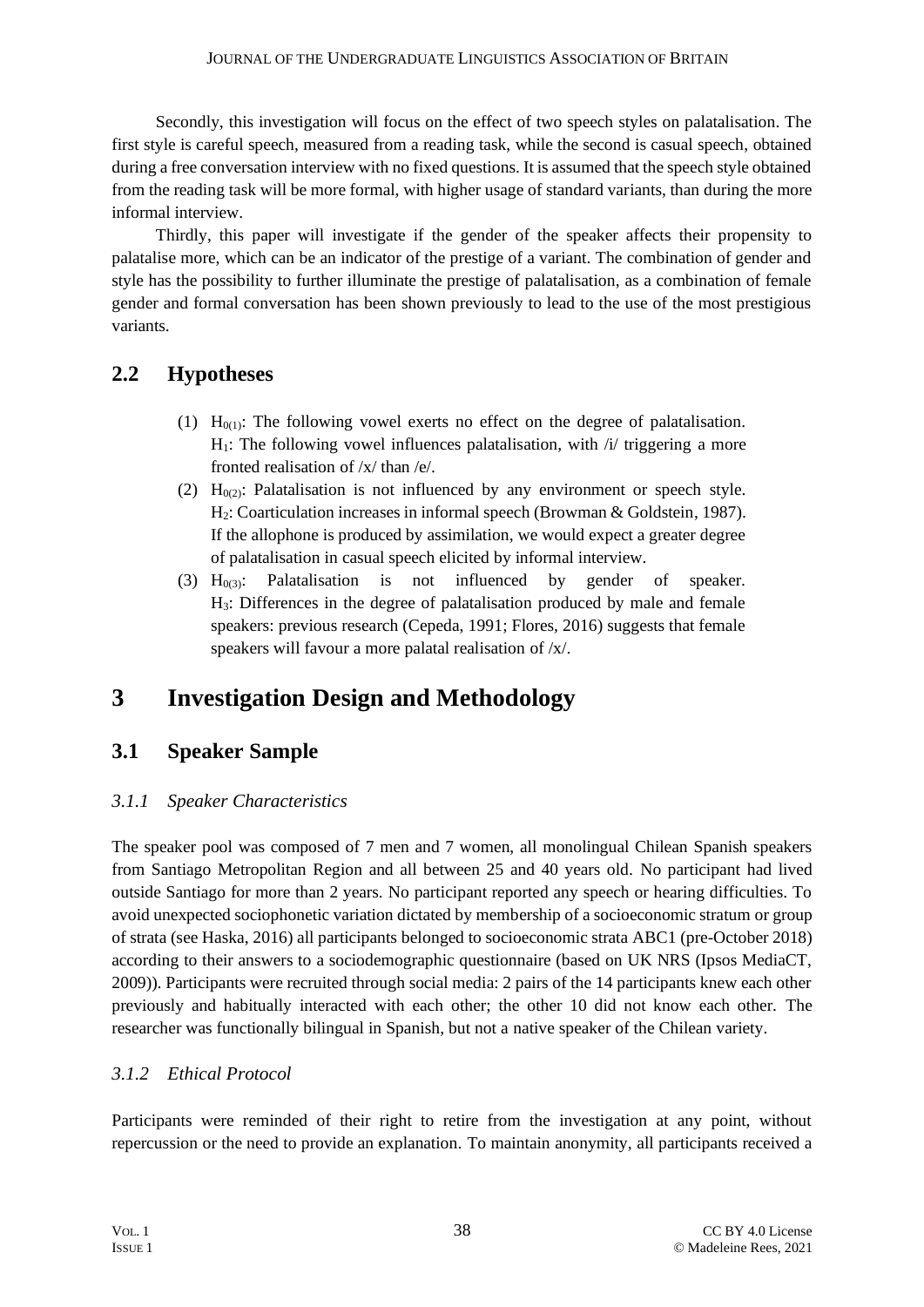Secondly, this investigation will focus on the effect of two speech styles on palatalisation. The first style is careful speech, measured from a reading task, while the second is casual speech, obtained during a free conversation interview with no fixed questions. It is assumed that the speech style obtained from the reading task will be more formal, with higher usage of standard variants, than during the more informal interview.

Thirdly, this paper will investigate if the gender of the speaker affects their propensity to palatalise more, which can be an indicator of the prestige of a variant. The combination of gender and style has the possibility to further illuminate the prestige of palatalisation, as a combination of female gender and formal conversation has been shown previously to lead to the use of the most prestigious variants.

#### **2.2 Hypotheses**

- (1)  $H<sub>0(1)</sub>$ : The following vowel exerts no effect on the degree of palatalisation.  $H_1$ : The following vowel influences palatalisation, with  $\pi/$  triggering a more fronted realisation of /x/ than /e/.
- (2)  $H_{0(2)}$ : Palatalisation is not influenced by any environment or speech style. H2: Coarticulation increases in informal speech (Browman & Goldstein, 1987). If the allophone is produced by assimilation, we would expect a greater degree of palatalisation in casual speech elicited by informal interview.
- (3)  $H_{0(3)}$ : Palatalisation is not influenced by gender of speaker. H3: Differences in the degree of palatalisation produced by male and female speakers: previous research (Cepeda, 1991; Flores, 2016) suggests that female speakers will favour a more palatal realisation of /x/.

## **3 Investigation Design and Methodology**

#### **3.1 Speaker Sample**

#### *3.1.1 Speaker Characteristics*

The speaker pool was composed of 7 men and 7 women, all monolingual Chilean Spanish speakers from Santiago Metropolitan Region and all between 25 and 40 years old. No participant had lived outside Santiago for more than 2 years. No participant reported any speech or hearing difficulties. To avoid unexpected sociophonetic variation dictated by membership of a socioeconomic stratum or group of strata (see Haska, 2016) all participants belonged to socioeconomic strata ABC1 (pre-October 2018) according to their answers to a sociodemographic questionnaire (based on UK NRS (Ipsos MediaCT, 2009)). Participants were recruited through social media: 2 pairs of the 14 participants knew each other previously and habitually interacted with each other; the other 10 did not know each other. The researcher was functionally bilingual in Spanish, but not a native speaker of the Chilean variety.

#### *3.1.2 Ethical Protocol*

Participants were reminded of their right to retire from the investigation at any point, without repercussion or the need to provide an explanation. To maintain anonymity, all participants received a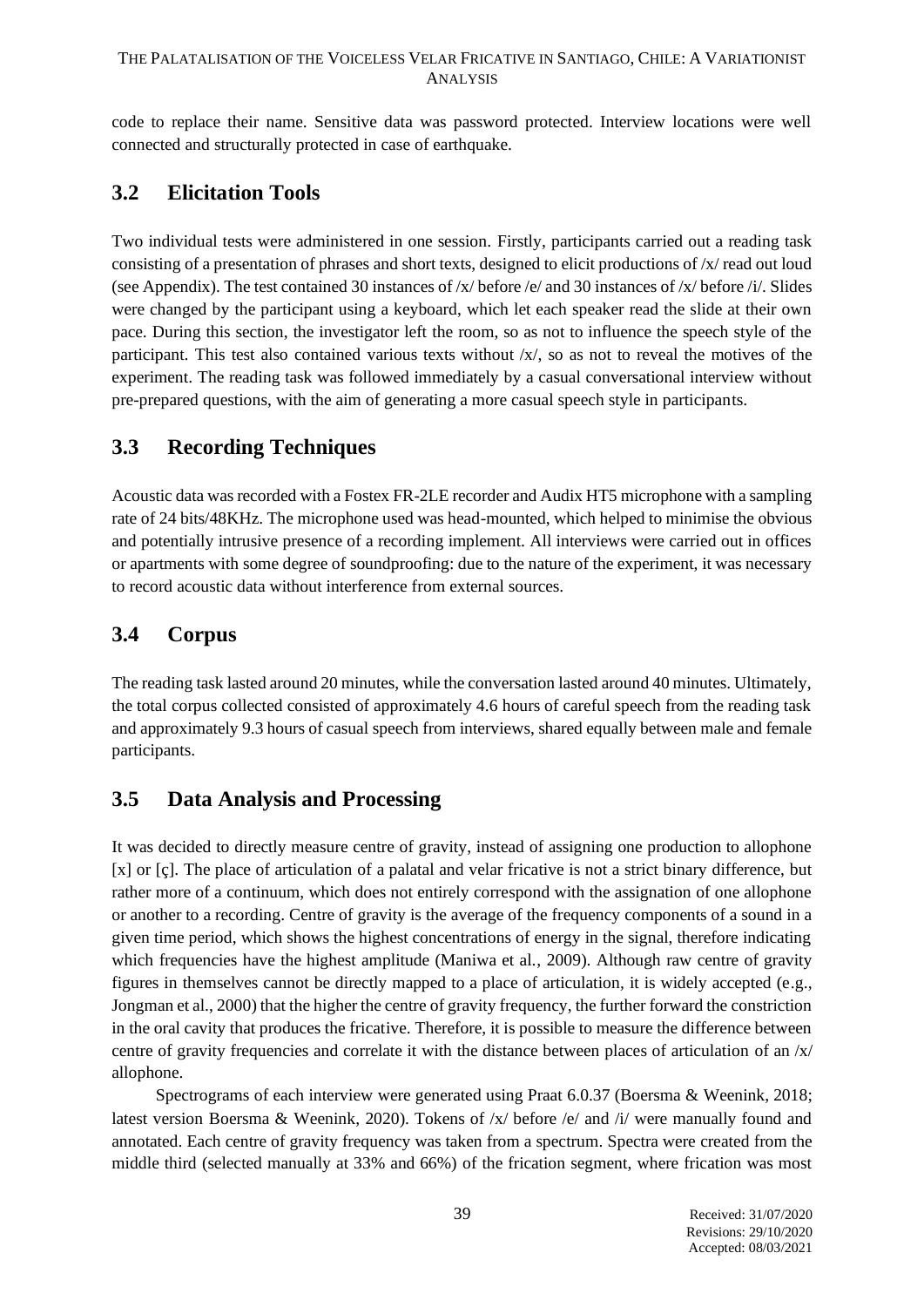code to replace their name. Sensitive data was password protected. Interview locations were well connected and structurally protected in case of earthquake.

#### **3.2 Elicitation Tools**

Two individual tests were administered in one session. Firstly, participants carried out a reading task consisting of a presentation of phrases and short texts, designed to elicit productions of /x/ read out loud (see Appendix). The test contained 30 instances of /x/ before /e/ and 30 instances of /x/ before /i/. Slides were changed by the participant using a keyboard, which let each speaker read the slide at their own pace. During this section, the investigator left the room, so as not to influence the speech style of the participant. This test also contained various texts without /x/, so as not to reveal the motives of the experiment. The reading task was followed immediately by a casual conversational interview without pre-prepared questions, with the aim of generating a more casual speech style in participants.

#### **3.3 Recording Techniques**

Acoustic data was recorded with a Fostex FR-2LE recorder and Audix HT5 microphone with a sampling rate of 24 bits/48KHz. The microphone used was head-mounted, which helped to minimise the obvious and potentially intrusive presence of a recording implement. All interviews were carried out in offices or apartments with some degree of soundproofing: due to the nature of the experiment, it was necessary to record acoustic data without interference from external sources.

#### **3.4 Corpus**

The reading task lasted around 20 minutes, while the conversation lasted around 40 minutes. Ultimately, the total corpus collected consisted of approximately 4.6 hours of careful speech from the reading task and approximately 9.3 hours of casual speech from interviews, shared equally between male and female participants.

#### **3.5 Data Analysis and Processing**

It was decided to directly measure centre of gravity, instead of assigning one production to allophone [x] or [ç]. The place of articulation of a palatal and velar fricative is not a strict binary difference, but rather more of a continuum, which does not entirely correspond with the assignation of one allophone or another to a recording. Centre of gravity is the average of the frequency components of a sound in a given time period, which shows the highest concentrations of energy in the signal, therefore indicating which frequencies have the highest amplitude (Maniwa et al., 2009). Although raw centre of gravity figures in themselves cannot be directly mapped to a place of articulation, it is widely accepted (e.g., Jongman et al., 2000) that the higher the centre of gravity frequency, the further forward the constriction in the oral cavity that produces the fricative. Therefore, it is possible to measure the difference between centre of gravity frequencies and correlate it with the distance between places of articulation of an /x/ allophone.

Spectrograms of each interview were generated using Praat 6.0.37 (Boersma & Weenink, 2018; latest version Boersma & Weenink, 2020). Tokens of /x/ before /e/ and /i/ were manually found and annotated. Each centre of gravity frequency was taken from a spectrum. Spectra were created from the middle third (selected manually at 33% and 66%) of the frication segment, where frication was most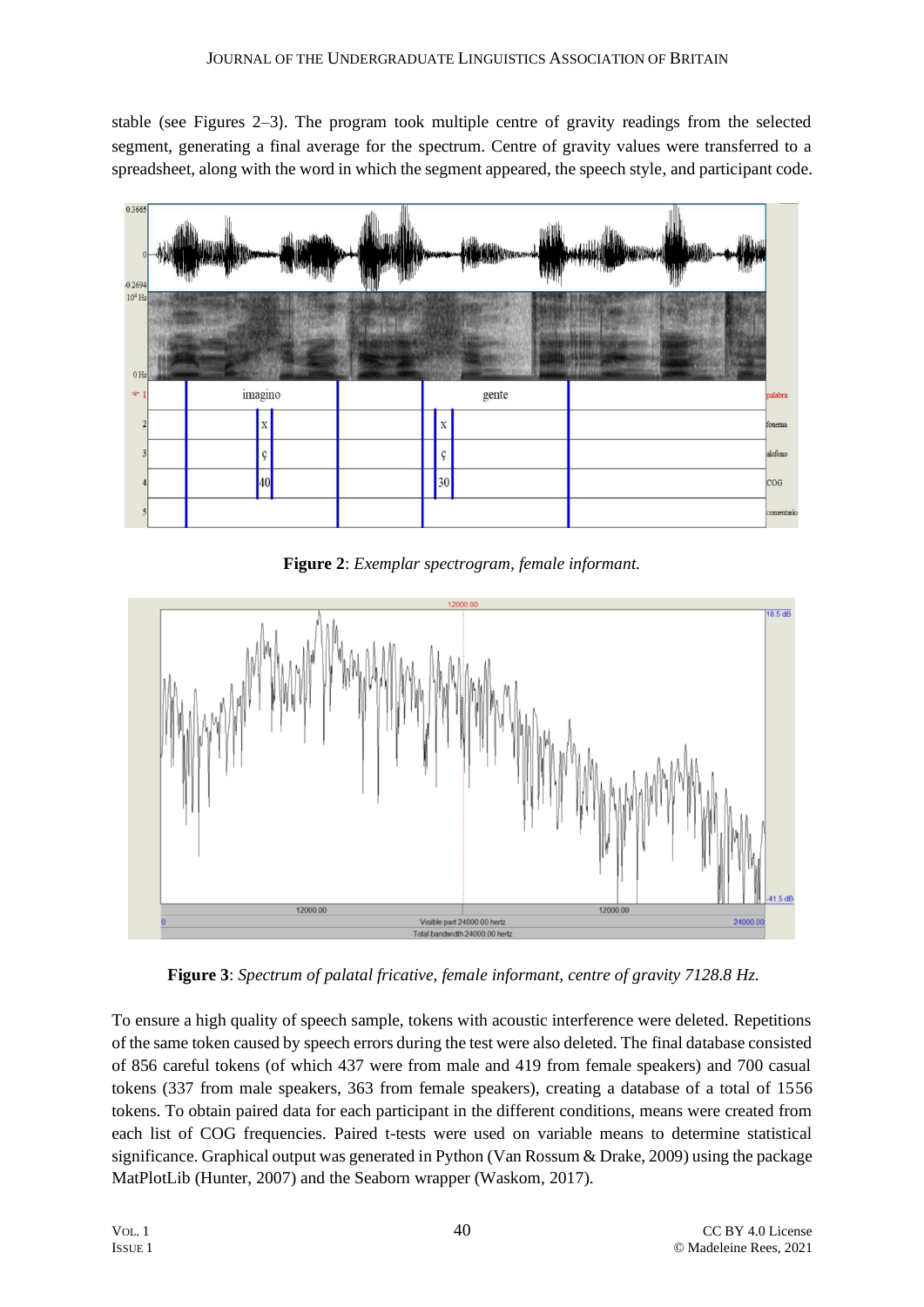stable (see Figures 2–3). The program took multiple centre of gravity readings from the selected segment, generating a final average for the spectrum. Centre of gravity values were transferred to a spreadsheet, along with the word in which the segment appeared, the speech style, and participant code.



**Figure 2**: *Exemplar spectrogram, female informant.*



**Figure 3**: *Spectrum of palatal fricative, female informant, centre of gravity 7128.8 Hz.*

To ensure a high quality of speech sample, tokens with acoustic interference were deleted. Repetitions of the same token caused by speech errors during the test were also deleted. The final database consisted of 856 careful tokens (of which 437 were from male and 419 from female speakers) and 700 casual tokens (337 from male speakers, 363 from female speakers), creating a database of a total of 1556 tokens. To obtain paired data for each participant in the different conditions, means were created from each list of COG frequencies. Paired t-tests were used on variable means to determine statistical significance. Graphical output was generated in Python (Van Rossum & Drake, 2009) using the package MatPlotLib (Hunter, 2007) and the Seaborn wrapper (Waskom, 2017).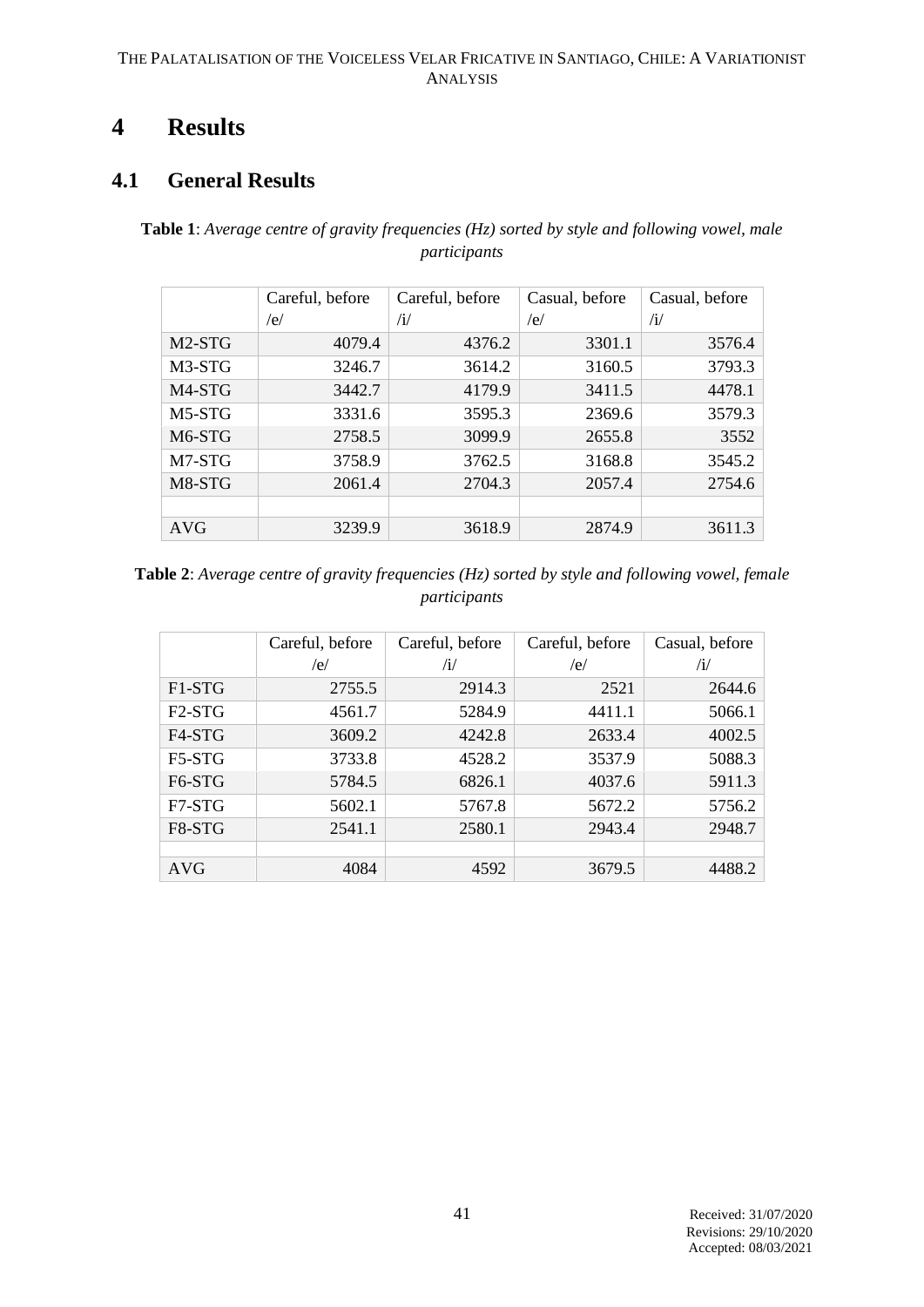#### **4 Results**

#### **4.1 General Results**

**Table 1**: *Average centre of gravity frequencies (Hz) sorted by style and following vowel, male participants*

|            | Careful, before | Careful, before | Casual, before | Casual, before |
|------------|-----------------|-----------------|----------------|----------------|
|            | /e/             | $\sqrt{1}$      | /e/            | $\sqrt{1/2}$   |
| $M2-STG$   | 4079.4          | 4376.2          | 3301.1         | 3576.4         |
| M3-STG     | 3246.7          | 3614.2          | 3160.5         | 3793.3         |
| M4-STG     | 3442.7          | 4179.9          | 3411.5         | 4478.1         |
| M5-STG     | 3331.6          | 3595.3          | 2369.6         | 3579.3         |
| M6-STG     | 2758.5          | 3099.9          | 2655.8         | 3552           |
| M7-STG     | 3758.9          | 3762.5          | 3168.8         | 3545.2         |
| M8-STG     | 2061.4          | 2704.3          | 2057.4         | 2754.6         |
|            |                 |                 |                |                |
| <b>AVG</b> | 3239.9          | 3618.9          | 2874.9         | 3611.3         |

**Table 2**: *Average centre of gravity frequencies (Hz) sorted by style and following vowel, female participants*

|                                 | Careful, before | Careful, before | Careful, before | Casual, before |
|---------------------------------|-----------------|-----------------|-----------------|----------------|
|                                 | /e/             | /i/             | /e/             | /i/            |
| F <sub>1</sub> -S <sub>TG</sub> | 2755.5          | 2914.3          | 2521            | 2644.6         |
| F <sub>2</sub> -STG             | 4561.7          | 5284.9          | 4411.1          | 5066.1         |
| F4-STG                          | 3609.2          | 4242.8          | 2633.4          | 4002.5         |
| F5-STG                          | 3733.8          | 4528.2          | 3537.9          | 5088.3         |
| F6-STG                          | 5784.5          | 6826.1          | 4037.6          | 5911.3         |
| F7-STG                          | 5602.1          | 5767.8          | 5672.2          | 5756.2         |
| F8-STG                          | 2541.1          | 2580.1          | 2943.4          | 2948.7         |
|                                 |                 |                 |                 |                |
| AVG                             | 4084            | 4592            | 3679.5          | 4488.2         |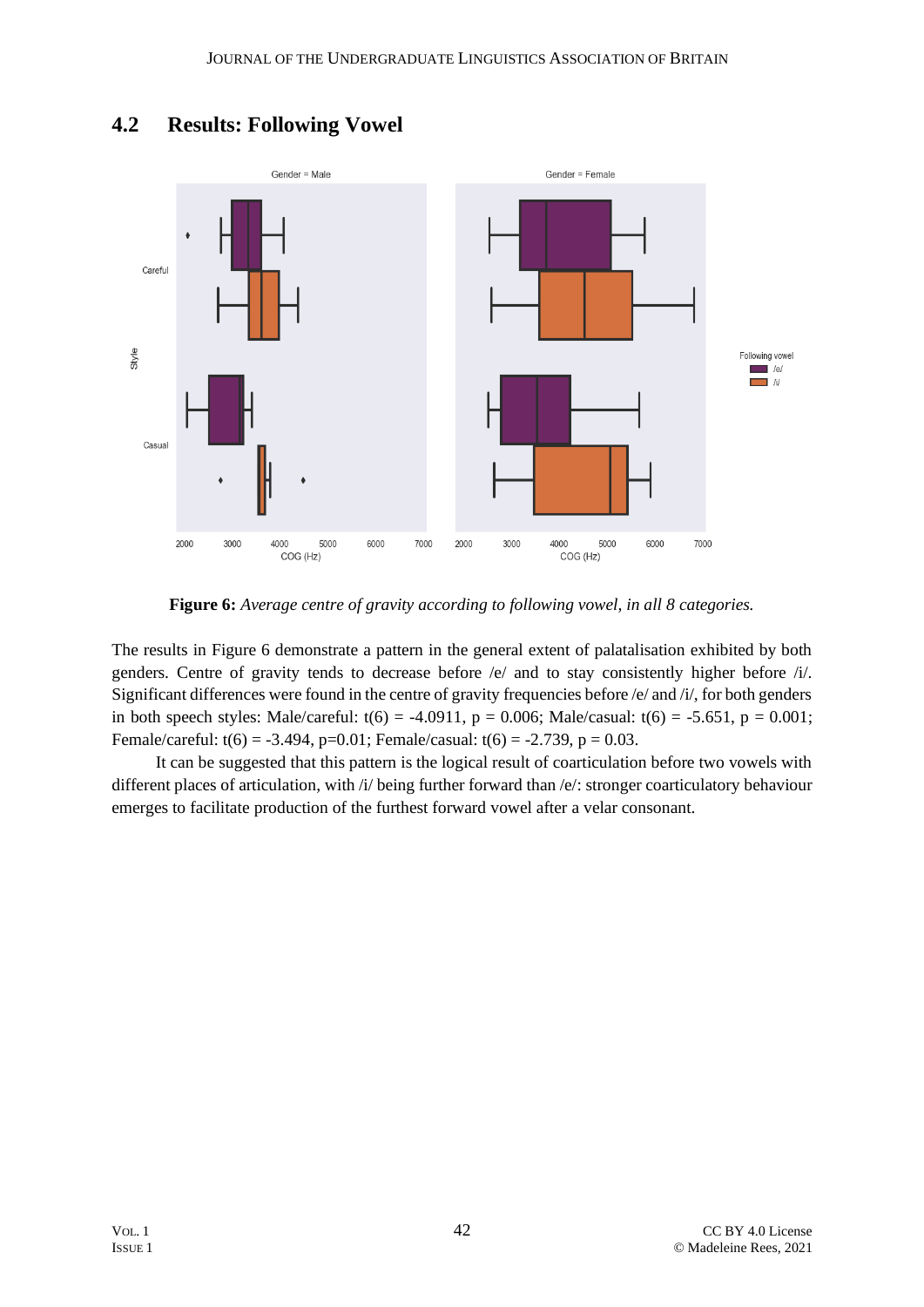

#### **4.2 Results: Following Vowel**

**Figure 6:** *Average centre of gravity according to following vowel, in all 8 categories.*

The results in Figure 6 demonstrate a pattern in the general extent of palatalisation exhibited by both genders. Centre of gravity tends to decrease before /e/ and to stay consistently higher before /i/. Significant differences were found in the centre of gravity frequencies before /e/ and /i/, for both genders in both speech styles: Male/careful:  $t(6) = -4.0911$ ,  $p = 0.006$ ; Male/casual:  $t(6) = -5.651$ ,  $p = 0.001$ ; Female/careful:  $t(6) = -3.494$ , p=0.01; Female/casual:  $t(6) = -2.739$ , p = 0.03.

It can be suggested that this pattern is the logical result of coarticulation before two vowels with different places of articulation, with /i/ being further forward than /e/: stronger coarticulatory behaviour emerges to facilitate production of the furthest forward vowel after a velar consonant.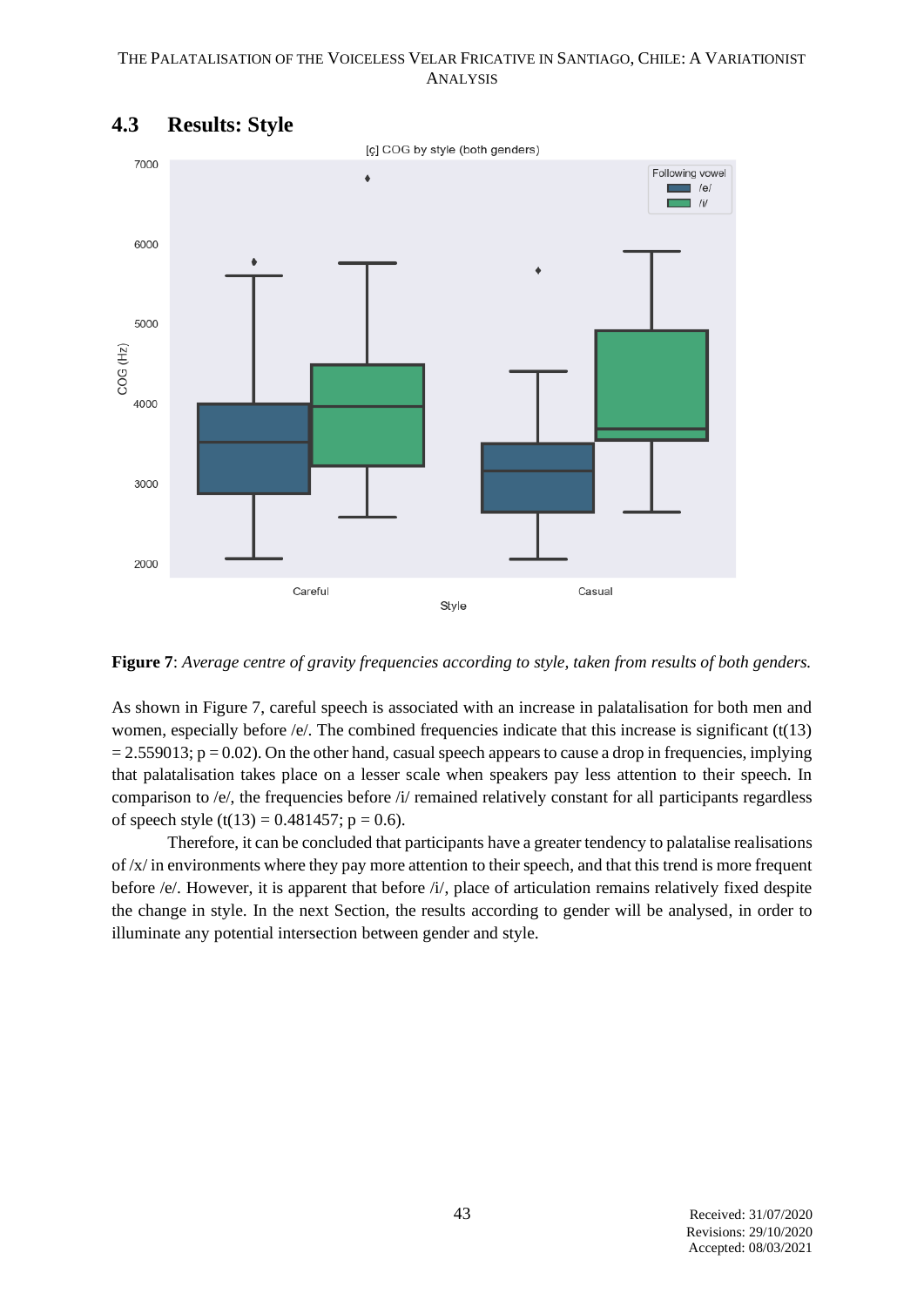

#### **4.3 Results: Style**



As shown in Figure 7, careful speech is associated with an increase in palatalisation for both men and women, especially before  $/e$ . The combined frequencies indicate that this increase is significant (t(13))  $= 2.559013$ ; p = 0.02). On the other hand, casual speech appears to cause a drop in frequencies, implying that palatalisation takes place on a lesser scale when speakers pay less attention to their speech. In comparison to /e/, the frequencies before /i/ remained relatively constant for all participants regardless of speech style  $(t(13) = 0.481457; p = 0.6)$ .

Therefore, it can be concluded that participants have a greater tendency to palatalise realisations of  $/x$  in environments where they pay more attention to their speech, and that this trend is more frequent before /e/. However, it is apparent that before /i/, place of articulation remains relatively fixed despite the change in style. In the next Section, the results according to gender will be analysed, in order to illuminate any potential intersection between gender and style.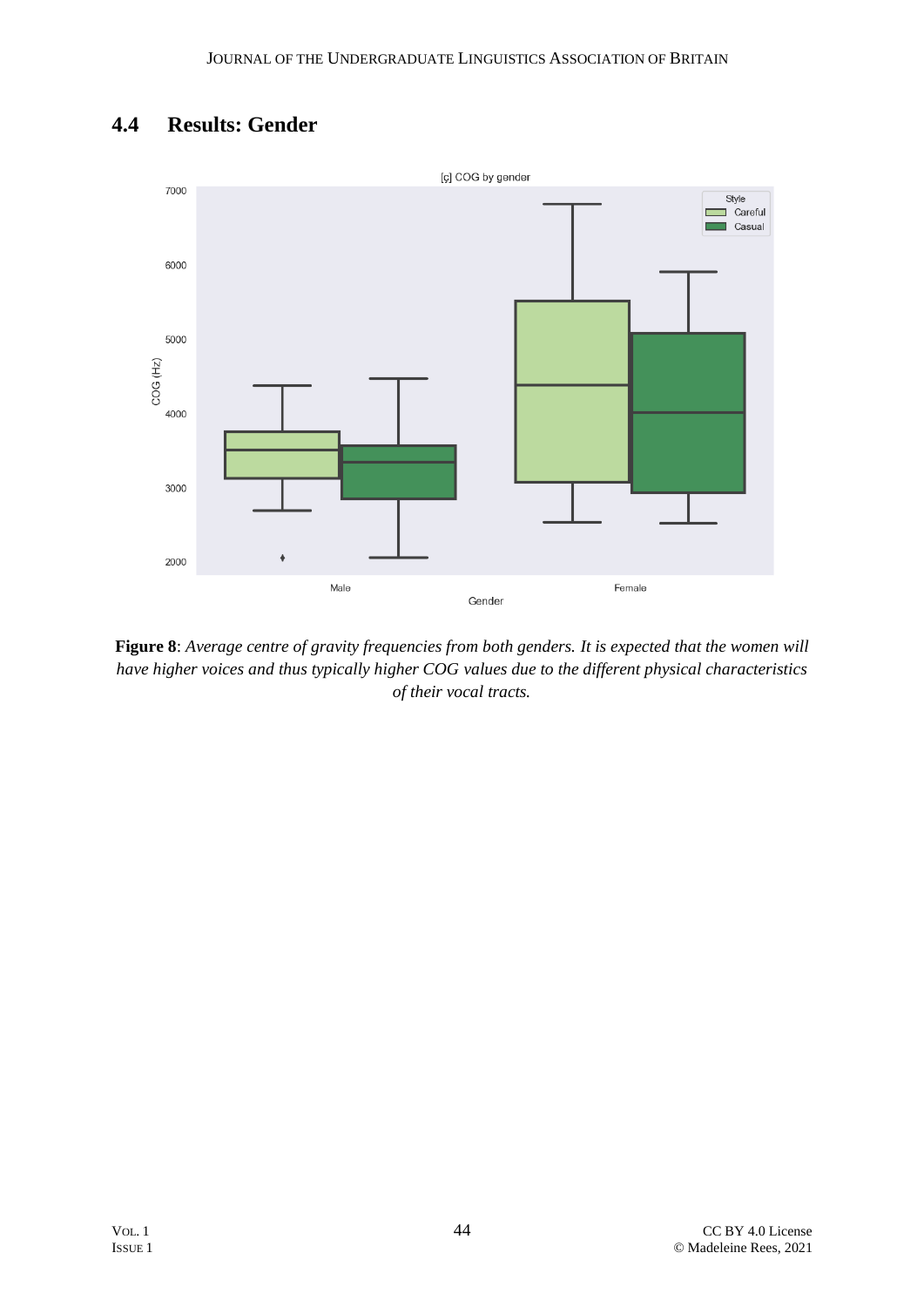

## **4.4 Results: Gender**

**Figure 8**: *Average centre of gravity frequencies from both genders. It is expected that the women will have higher voices and thus typically higher COG values due to the different physical characteristics of their vocal tracts.*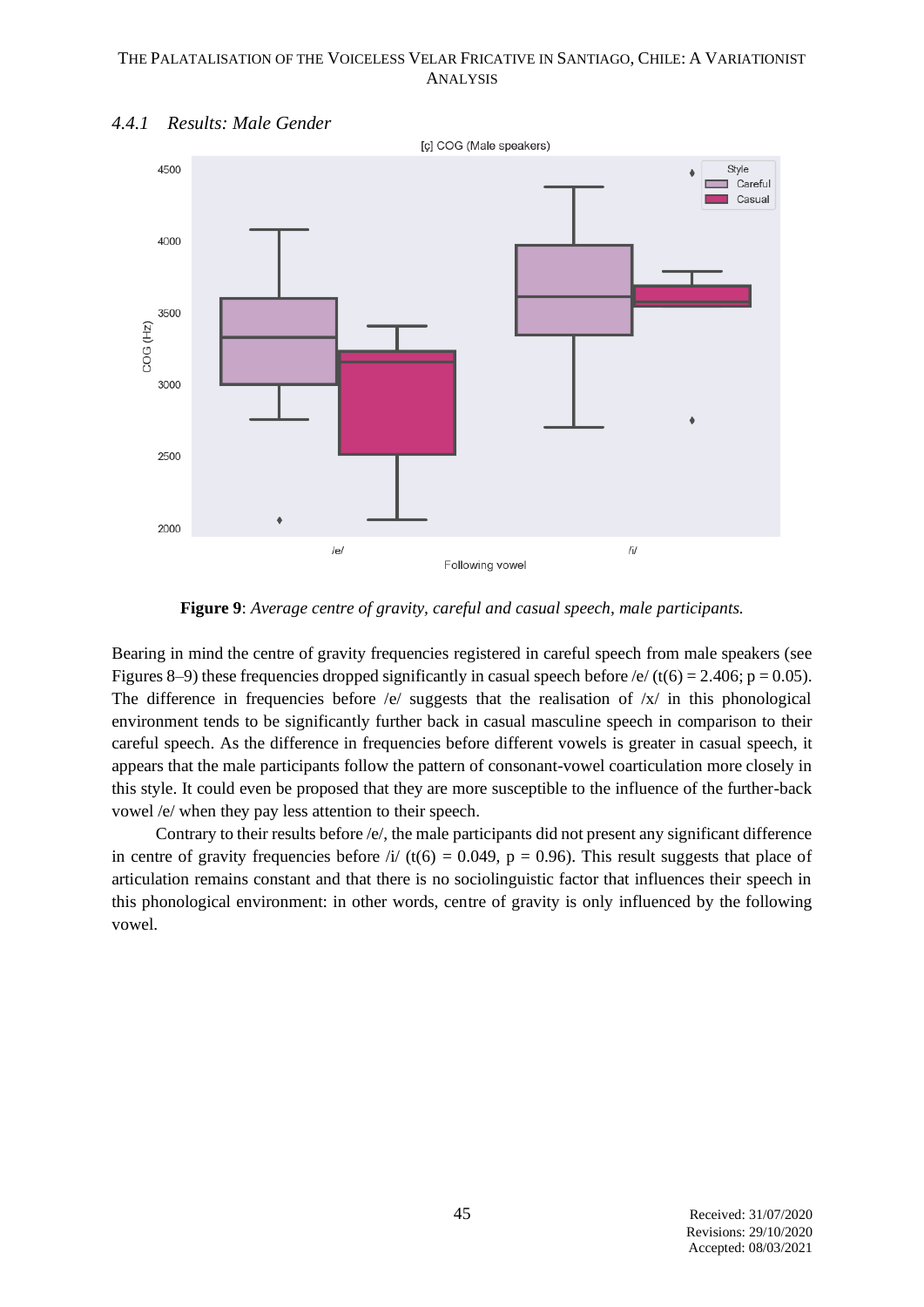

#### *4.4.1 Results: Male Gender*

**Figure 9**: *Average centre of gravity, careful and casual speech, male participants.*

Bearing in mind the centre of gravity frequencies registered in careful speech from male speakers (see Figures 8–9) these frequencies dropped significantly in casual speech before /e/ (t(6) = 2.406; p = 0.05). The difference in frequencies before /e/ suggests that the realisation of  $\frac{x}{x}$  in this phonological environment tends to be significantly further back in casual masculine speech in comparison to their careful speech. As the difference in frequencies before different vowels is greater in casual speech, it appears that the male participants follow the pattern of consonant-vowel coarticulation more closely in this style. It could even be proposed that they are more susceptible to the influence of the further-back vowel /e/ when they pay less attention to their speech.

Contrary to their results before /e/, the male participants did not present any significant difference in centre of gravity frequencies before /i/ (t(6) = 0.049, p = 0.96). This result suggests that place of articulation remains constant and that there is no sociolinguistic factor that influences their speech in this phonological environment: in other words, centre of gravity is only influenced by the following vowel.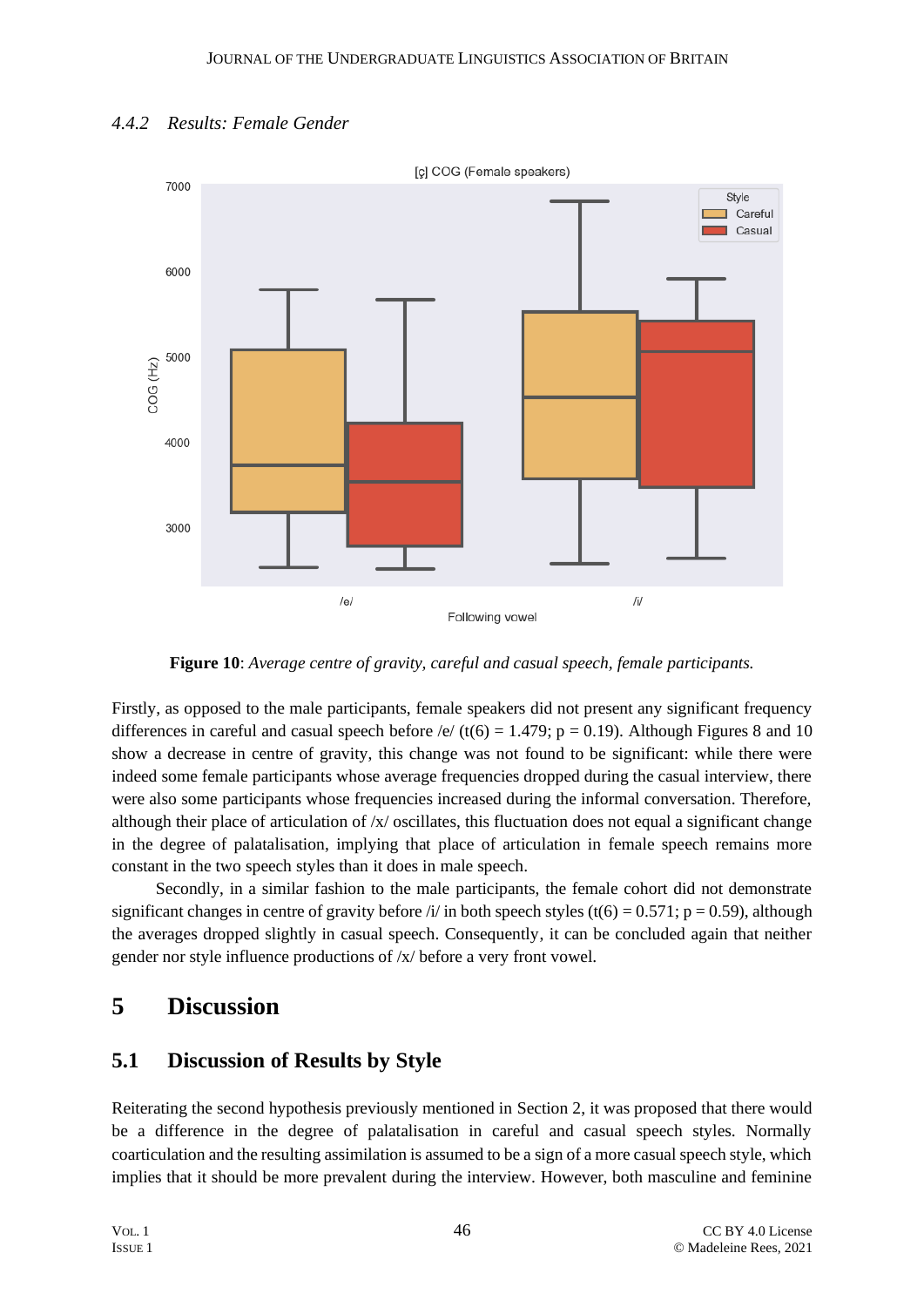

*4.4.2 Results: Female Gender*



Firstly, as opposed to the male participants, female speakers did not present any significant frequency differences in careful and casual speech before /e/ (t(6) = 1.479;  $p = 0.19$ ). Although Figures 8 and 10 show a decrease in centre of gravity, this change was not found to be significant: while there were indeed some female participants whose average frequencies dropped during the casual interview, there were also some participants whose frequencies increased during the informal conversation. Therefore, although their place of articulation of  $/x$  oscillates, this fluctuation does not equal a significant change in the degree of palatalisation, implying that place of articulation in female speech remains more constant in the two speech styles than it does in male speech.

Secondly, in a similar fashion to the male participants, the female cohort did not demonstrate significant changes in centre of gravity before /i/ in both speech styles (t(6) = 0.571; p = 0.59), although the averages dropped slightly in casual speech. Consequently, it can be concluded again that neither gender nor style influence productions of /x/ before a very front vowel.

#### **5 Discussion**

#### **5.1 Discussion of Results by Style**

Reiterating the second hypothesis previously mentioned in Section 2, it was proposed that there would be a difference in the degree of palatalisation in careful and casual speech styles. Normally coarticulation and the resulting assimilation is assumed to be a sign of a more casual speech style, which implies that it should be more prevalent during the interview. However, both masculine and feminine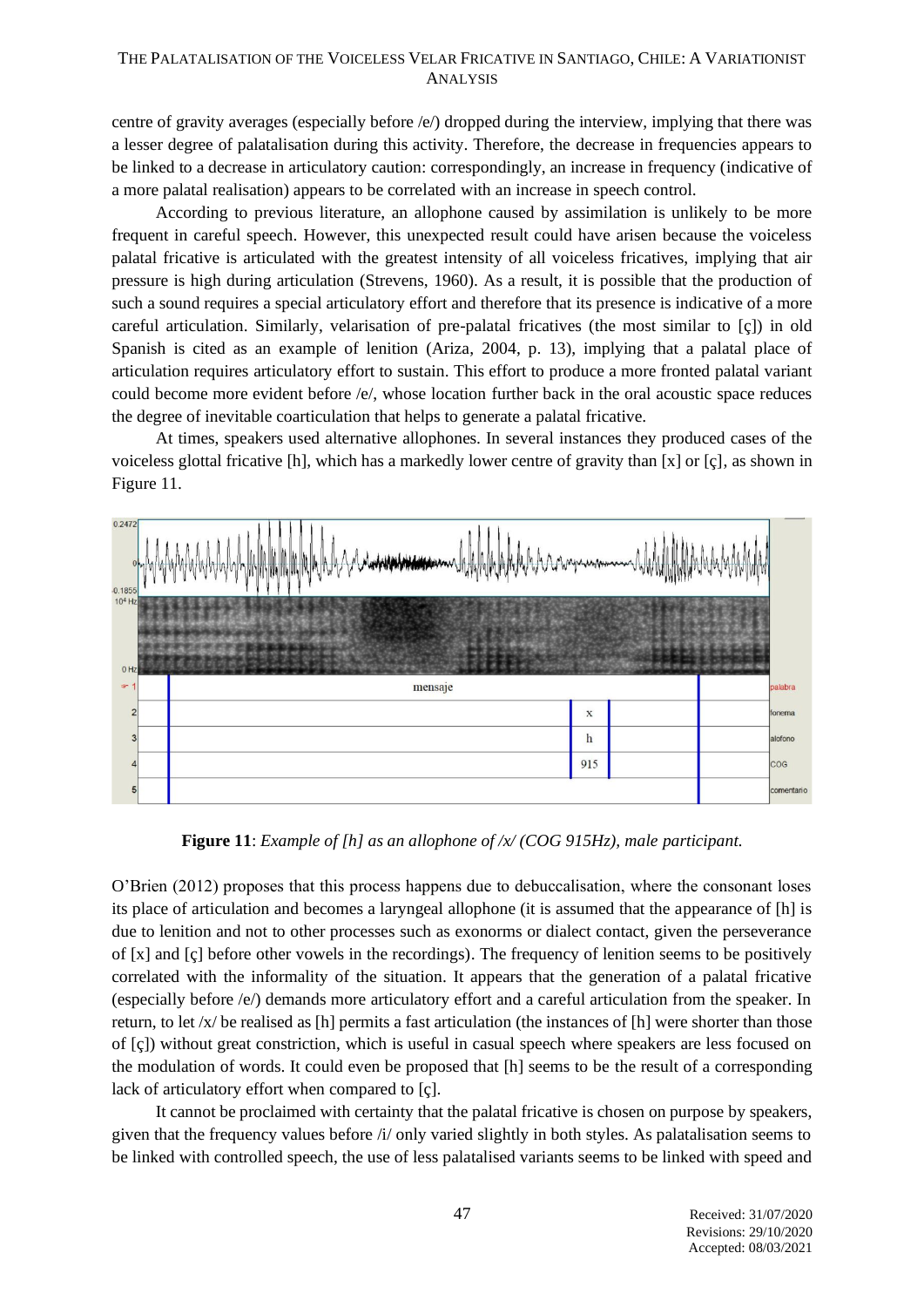centre of gravity averages (especially before  $\langle e \rangle$ ) dropped during the interview, implying that there was a lesser degree of palatalisation during this activity. Therefore, the decrease in frequencies appears to be linked to a decrease in articulatory caution: correspondingly, an increase in frequency (indicative of a more palatal realisation) appears to be correlated with an increase in speech control.

According to previous literature, an allophone caused by assimilation is unlikely to be more frequent in careful speech. However, this unexpected result could have arisen because the voiceless palatal fricative is articulated with the greatest intensity of all voiceless fricatives, implying that air pressure is high during articulation (Strevens, 1960). As a result, it is possible that the production of such a sound requires a special articulatory effort and therefore that its presence is indicative of a more careful articulation. Similarly, velarisation of pre-palatal fricatives (the most similar to [ç]) in old Spanish is cited as an example of lenition (Ariza, 2004, p. 13), implying that a palatal place of articulation requires articulatory effort to sustain. This effort to produce a more fronted palatal variant could become more evident before /e/, whose location further back in the oral acoustic space reduces the degree of inevitable coarticulation that helps to generate a palatal fricative.

At times, speakers used alternative allophones. In several instances they produced cases of the voiceless glottal fricative [h], which has a markedly lower centre of gravity than [x] or [ç], as shown in Figure 11.



**Figure 11**: *Example of [h] as an allophone of /x/ (COG 915Hz), male participant.*

O'Brien (2012) proposes that this process happens due to debuccalisation, where the consonant loses its place of articulation and becomes a laryngeal allophone (it is assumed that the appearance of [h] is due to lenition and not to other processes such as exonorms or dialect contact, given the perseverance of [x] and [ç] before other vowels in the recordings). The frequency of lenition seems to be positively correlated with the informality of the situation. It appears that the generation of a palatal fricative (especially before /e/) demands more articulatory effort and a careful articulation from the speaker. In return, to let /x/ be realised as [h] permits a fast articulation (the instances of [h] were shorter than those of [ç]) without great constriction, which is useful in casual speech where speakers are less focused on the modulation of words. It could even be proposed that [h] seems to be the result of a corresponding lack of articulatory effort when compared to [ç].

It cannot be proclaimed with certainty that the palatal fricative is chosen on purpose by speakers, given that the frequency values before /i/ only varied slightly in both styles. As palatalisation seems to be linked with controlled speech, the use of less palatalised variants seems to be linked with speed and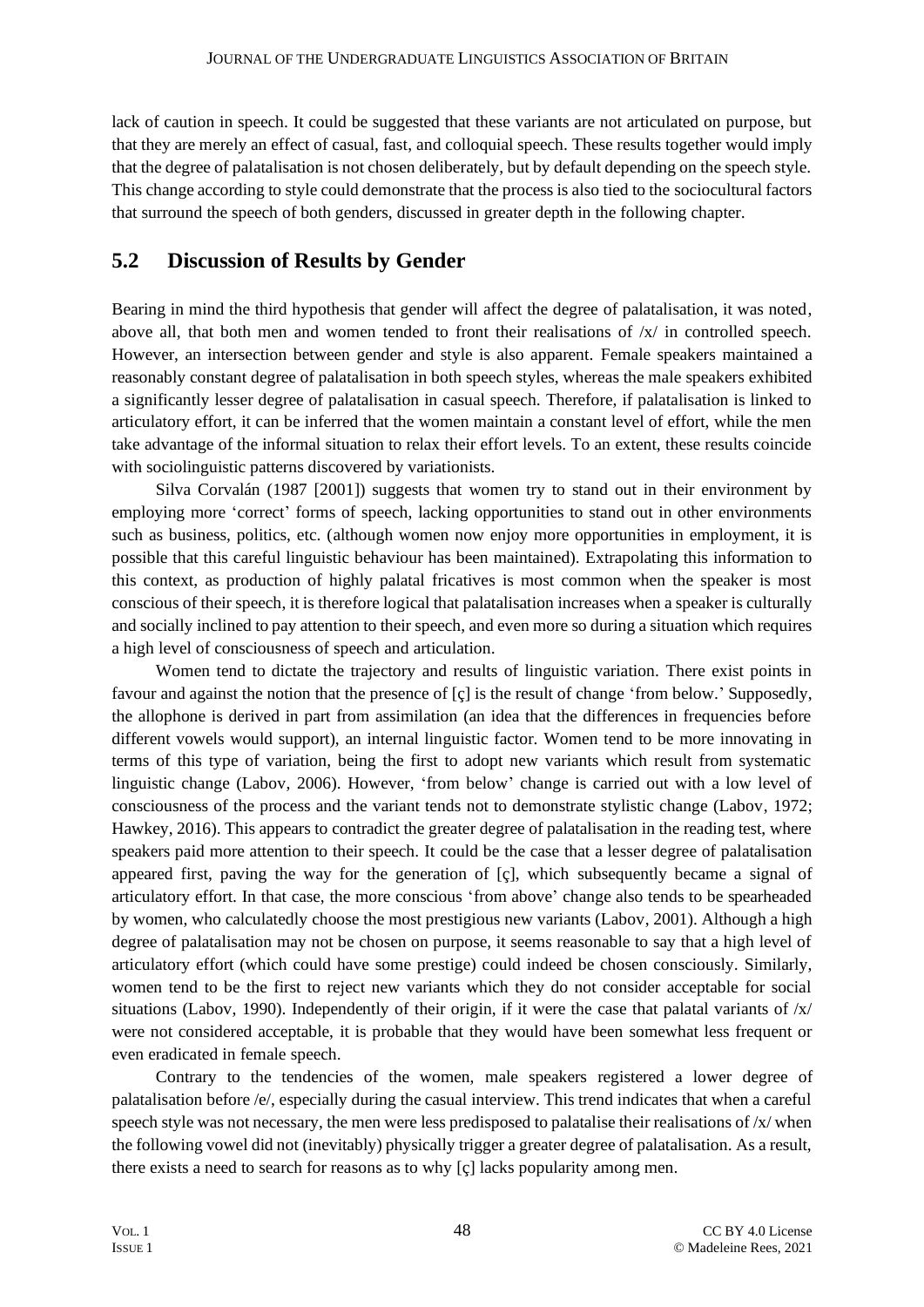lack of caution in speech. It could be suggested that these variants are not articulated on purpose, but that they are merely an effect of casual, fast, and colloquial speech. These results together would imply that the degree of palatalisation is not chosen deliberately, but by default depending on the speech style. This change according to style could demonstrate that the process is also tied to the sociocultural factors that surround the speech of both genders, discussed in greater depth in the following chapter.

#### **5.2 Discussion of Results by Gender**

Bearing in mind the third hypothesis that gender will affect the degree of palatalisation, it was noted, above all, that both men and women tended to front their realisations of  $/x/$  in controlled speech. However, an intersection between gender and style is also apparent. Female speakers maintained a reasonably constant degree of palatalisation in both speech styles, whereas the male speakers exhibited a significantly lesser degree of palatalisation in casual speech. Therefore, if palatalisation is linked to articulatory effort, it can be inferred that the women maintain a constant level of effort, while the men take advantage of the informal situation to relax their effort levels. To an extent, these results coincide with sociolinguistic patterns discovered by variationists.

Silva Corvalán (1987 [2001]) suggests that women try to stand out in their environment by employing more 'correct' forms of speech, lacking opportunities to stand out in other environments such as business, politics, etc. (although women now enjoy more opportunities in employment, it is possible that this careful linguistic behaviour has been maintained). Extrapolating this information to this context, as production of highly palatal fricatives is most common when the speaker is most conscious of their speech, it is therefore logical that palatalisation increases when a speaker is culturally and socially inclined to pay attention to their speech, and even more so during a situation which requires a high level of consciousness of speech and articulation.

Women tend to dictate the trajectory and results of linguistic variation. There exist points in favour and against the notion that the presence of [ç] is the result of change 'from below.' Supposedly, the allophone is derived in part from assimilation (an idea that the differences in frequencies before different vowels would support), an internal linguistic factor. Women tend to be more innovating in terms of this type of variation, being the first to adopt new variants which result from systematic linguistic change (Labov, 2006). However, 'from below' change is carried out with a low level of consciousness of the process and the variant tends not to demonstrate stylistic change (Labov, 1972; Hawkey, 2016). This appears to contradict the greater degree of palatalisation in the reading test, where speakers paid more attention to their speech. It could be the case that a lesser degree of palatalisation appeared first, paving the way for the generation of [ç], which subsequently became a signal of articulatory effort. In that case, the more conscious 'from above' change also tends to be spearheaded by women, who calculatedly choose the most prestigious new variants (Labov, 2001). Although a high degree of palatalisation may not be chosen on purpose, it seems reasonable to say that a high level of articulatory effort (which could have some prestige) could indeed be chosen consciously. Similarly, women tend to be the first to reject new variants which they do not consider acceptable for social situations (Labov, 1990). Independently of their origin, if it were the case that palatal variants of  $\frac{x}{x}$ were not considered acceptable, it is probable that they would have been somewhat less frequent or even eradicated in female speech.

Contrary to the tendencies of the women, male speakers registered a lower degree of palatalisation before /e/, especially during the casual interview. This trend indicates that when a careful speech style was not necessary, the men were less predisposed to palatalise their realisations of /x/ when the following vowel did not (inevitably) physically trigger a greater degree of palatalisation. As a result, there exists a need to search for reasons as to why [ç] lacks popularity among men.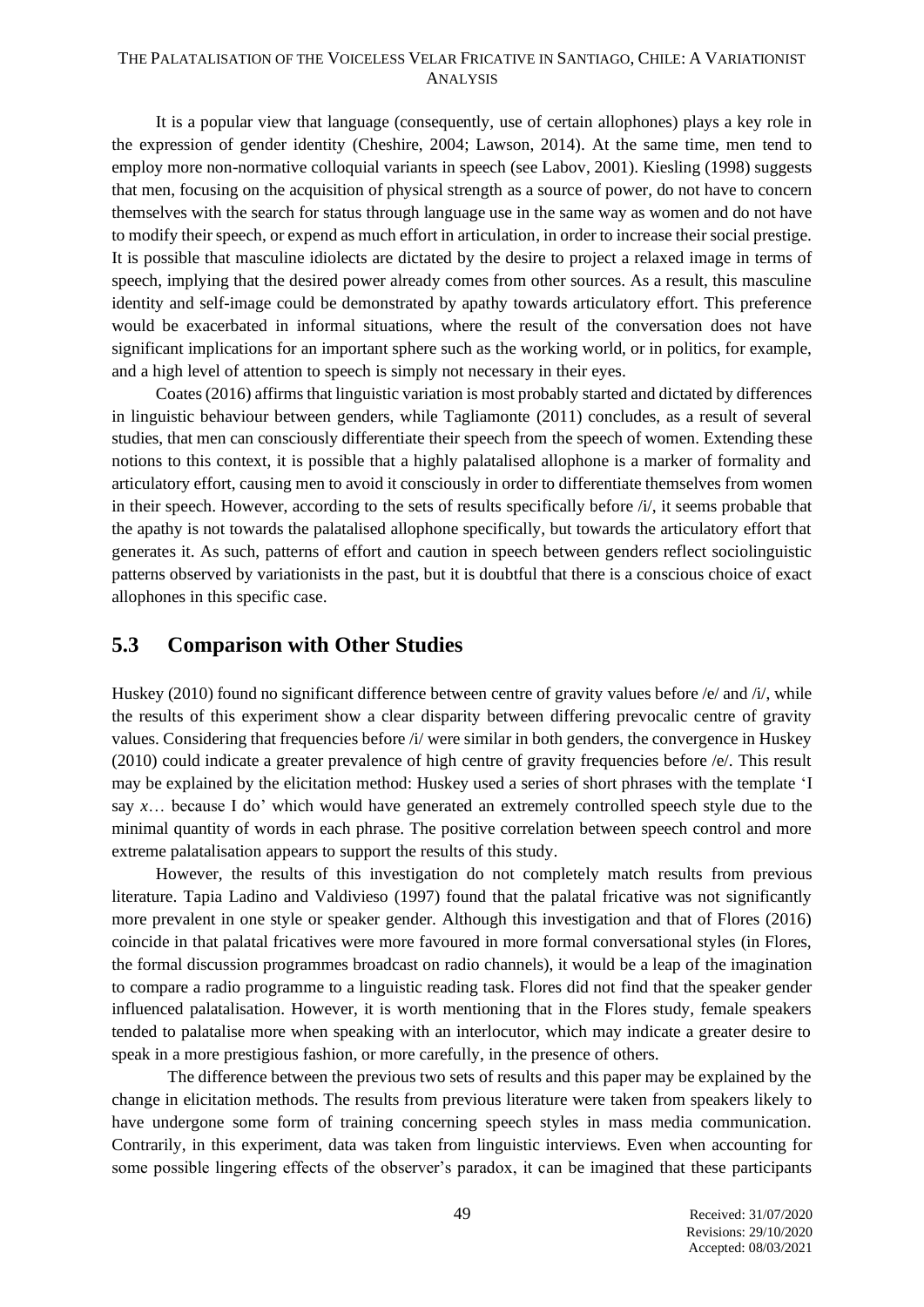It is a popular view that language (consequently, use of certain allophones) plays a key role in the expression of gender identity (Cheshire, 2004; Lawson, 2014). At the same time, men tend to employ more non-normative colloquial variants in speech (see Labov, 2001). Kiesling (1998) suggests that men, focusing on the acquisition of physical strength as a source of power, do not have to concern themselves with the search for status through language use in the same way as women and do not have to modify their speech, or expend as much effort in articulation, in order to increase their social prestige. It is possible that masculine idiolects are dictated by the desire to project a relaxed image in terms of speech, implying that the desired power already comes from other sources. As a result, this masculine identity and self-image could be demonstrated by apathy towards articulatory effort. This preference would be exacerbated in informal situations, where the result of the conversation does not have significant implications for an important sphere such as the working world, or in politics, for example, and a high level of attention to speech is simply not necessary in their eyes.

Coates (2016) affirms that linguistic variation is most probably started and dictated by differences in linguistic behaviour between genders, while Tagliamonte (2011) concludes, as a result of several studies, that men can consciously differentiate their speech from the speech of women. Extending these notions to this context, it is possible that a highly palatalised allophone is a marker of formality and articulatory effort, causing men to avoid it consciously in order to differentiate themselves from women in their speech. However, according to the sets of results specifically before  $/i$ , it seems probable that the apathy is not towards the palatalised allophone specifically, but towards the articulatory effort that generates it. As such, patterns of effort and caution in speech between genders reflect sociolinguistic patterns observed by variationists in the past, but it is doubtful that there is a conscious choice of exact allophones in this specific case.

#### **5.3 Comparison with Other Studies**

Huskey (2010) found no significant difference between centre of gravity values before /e/ and /i/, while the results of this experiment show a clear disparity between differing prevocalic centre of gravity values. Considering that frequencies before /i/ were similar in both genders, the convergence in Huskey (2010) could indicate a greater prevalence of high centre of gravity frequencies before /e/. This result may be explained by the elicitation method: Huskey used a series of short phrases with the template 'I say *x*… because I do' which would have generated an extremely controlled speech style due to the minimal quantity of words in each phrase. The positive correlation between speech control and more extreme palatalisation appears to support the results of this study.

However, the results of this investigation do not completely match results from previous literature. Tapia Ladino and Valdivieso (1997) found that the palatal fricative was not significantly more prevalent in one style or speaker gender. Although this investigation and that of Flores (2016) coincide in that palatal fricatives were more favoured in more formal conversational styles (in Flores, the formal discussion programmes broadcast on radio channels), it would be a leap of the imagination to compare a radio programme to a linguistic reading task. Flores did not find that the speaker gender influenced palatalisation. However, it is worth mentioning that in the Flores study, female speakers tended to palatalise more when speaking with an interlocutor, which may indicate a greater desire to speak in a more prestigious fashion, or more carefully, in the presence of others.

The difference between the previous two sets of results and this paper may be explained by the change in elicitation methods. The results from previous literature were taken from speakers likely to have undergone some form of training concerning speech styles in mass media communication. Contrarily, in this experiment, data was taken from linguistic interviews. Even when accounting for some possible lingering effects of the observer's paradox, it can be imagined that these participants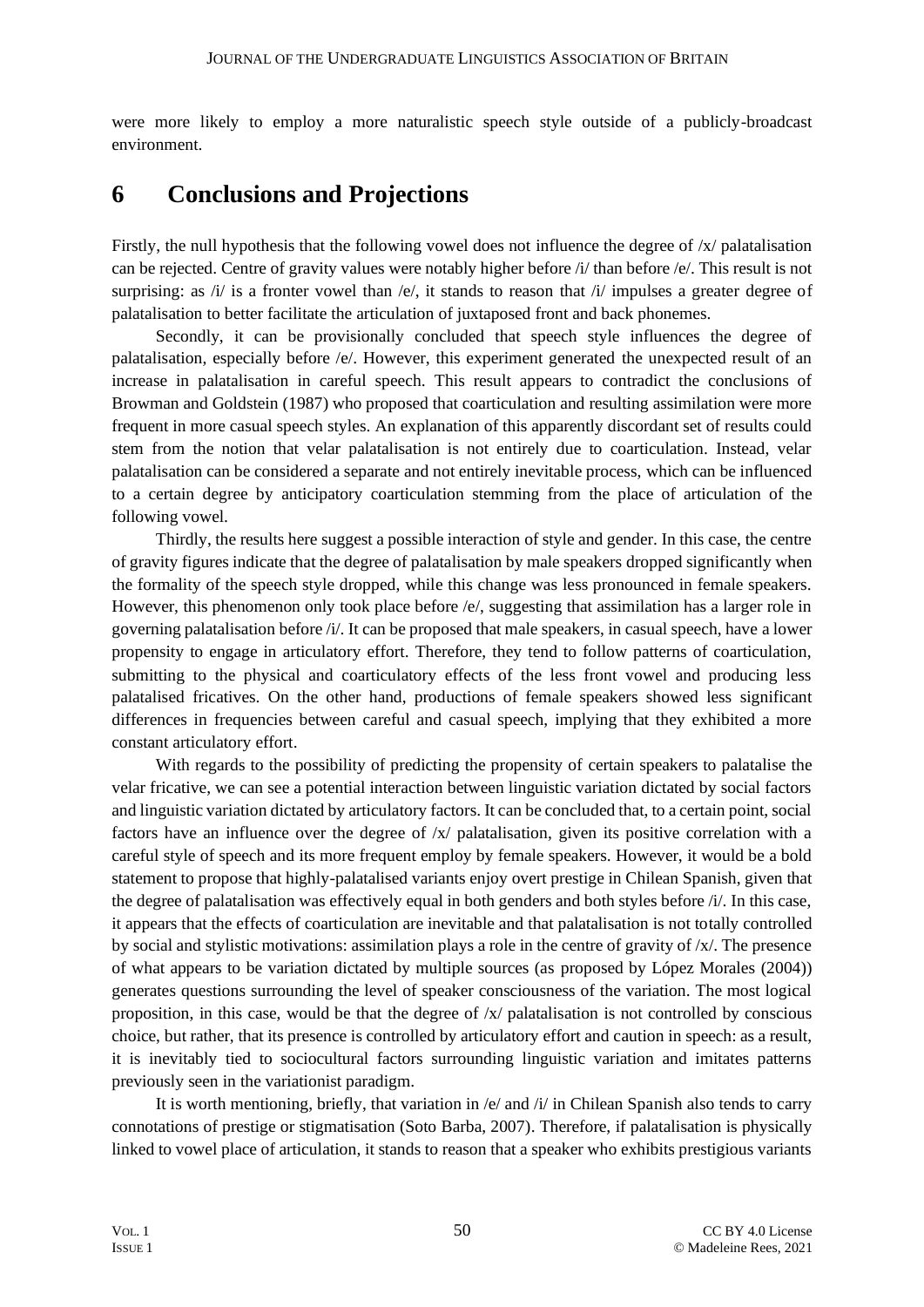were more likely to employ a more naturalistic speech style outside of a publicly-broadcast environment.

#### **6 Conclusions and Projections**

Firstly, the null hypothesis that the following vowel does not influence the degree of  $\frac{x}{q}$  palatalisation can be rejected. Centre of gravity values were notably higher before /i/ than before /e/. This result is not surprising: as /i/ is a fronter vowel than /e/, it stands to reason that /i/ impulses a greater degree of palatalisation to better facilitate the articulation of juxtaposed front and back phonemes.

Secondly, it can be provisionally concluded that speech style influences the degree of palatalisation, especially before /e/. However, this experiment generated the unexpected result of an increase in palatalisation in careful speech. This result appears to contradict the conclusions of Browman and Goldstein (1987) who proposed that coarticulation and resulting assimilation were more frequent in more casual speech styles. An explanation of this apparently discordant set of results could stem from the notion that velar palatalisation is not entirely due to coarticulation. Instead, velar palatalisation can be considered a separate and not entirely inevitable process, which can be influenced to a certain degree by anticipatory coarticulation stemming from the place of articulation of the following vowel.

Thirdly, the results here suggest a possible interaction of style and gender. In this case, the centre of gravity figures indicate that the degree of palatalisation by male speakers dropped significantly when the formality of the speech style dropped, while this change was less pronounced in female speakers. However, this phenomenon only took place before /e/, suggesting that assimilation has a larger role in governing palatalisation before /i/. It can be proposed that male speakers, in casual speech, have a lower propensity to engage in articulatory effort. Therefore, they tend to follow patterns of coarticulation, submitting to the physical and coarticulatory effects of the less front vowel and producing less palatalised fricatives. On the other hand, productions of female speakers showed less significant differences in frequencies between careful and casual speech, implying that they exhibited a more constant articulatory effort.

With regards to the possibility of predicting the propensity of certain speakers to palatalise the velar fricative, we can see a potential interaction between linguistic variation dictated by social factors and linguistic variation dictated by articulatory factors. It can be concluded that, to a certain point, social factors have an influence over the degree of  $\frac{x}{2}$  palatalisation, given its positive correlation with a careful style of speech and its more frequent employ by female speakers. However, it would be a bold statement to propose that highly-palatalised variants enjoy overt prestige in Chilean Spanish, given that the degree of palatalisation was effectively equal in both genders and both styles before /i/. In this case, it appears that the effects of coarticulation are inevitable and that palatalisation is not totally controlled by social and stylistic motivations: assimilation plays a role in the centre of gravity of /x/. The presence of what appears to be variation dictated by multiple sources (as proposed by López Morales (2004)) generates questions surrounding the level of speaker consciousness of the variation. The most logical proposition, in this case, would be that the degree of /x/ palatalisation is not controlled by conscious choice, but rather, that its presence is controlled by articulatory effort and caution in speech: as a result, it is inevitably tied to sociocultural factors surrounding linguistic variation and imitates patterns previously seen in the variationist paradigm.

It is worth mentioning, briefly, that variation in /e/ and /i/ in Chilean Spanish also tends to carry connotations of prestige or stigmatisation (Soto Barba, 2007). Therefore, if palatalisation is physically linked to vowel place of articulation, it stands to reason that a speaker who exhibits prestigious variants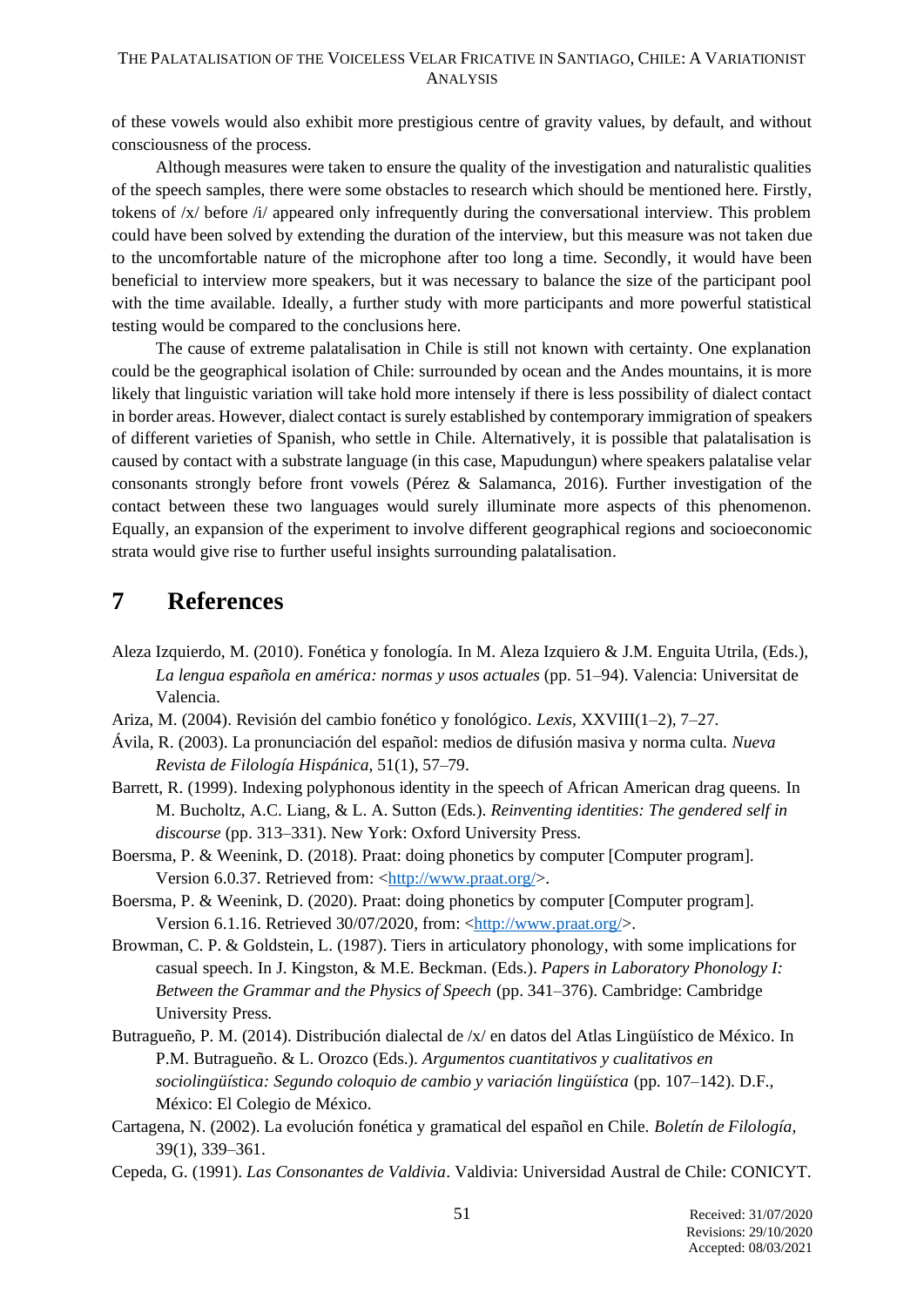of these vowels would also exhibit more prestigious centre of gravity values, by default, and without consciousness of the process.

Although measures were taken to ensure the quality of the investigation and naturalistic qualities of the speech samples, there were some obstacles to research which should be mentioned here. Firstly, tokens of /x/ before /i/ appeared only infrequently during the conversational interview. This problem could have been solved by extending the duration of the interview, but this measure was not taken due to the uncomfortable nature of the microphone after too long a time. Secondly, it would have been beneficial to interview more speakers, but it was necessary to balance the size of the participant pool with the time available. Ideally, a further study with more participants and more powerful statistical testing would be compared to the conclusions here.

The cause of extreme palatalisation in Chile is still not known with certainty. One explanation could be the geographical isolation of Chile: surrounded by ocean and the Andes mountains, it is more likely that linguistic variation will take hold more intensely if there is less possibility of dialect contact in border areas. However, dialect contact is surely established by contemporary immigration of speakers of different varieties of Spanish, who settle in Chile. Alternatively, it is possible that palatalisation is caused by contact with a substrate language (in this case, Mapudungun) where speakers palatalise velar consonants strongly before front vowels (Pérez & Salamanca, 2016). Further investigation of the contact between these two languages would surely illuminate more aspects of this phenomenon. Equally, an expansion of the experiment to involve different geographical regions and socioeconomic strata would give rise to further useful insights surrounding palatalisation.

#### **7 References**

- Aleza Izquierdo, M. (2010). Fonética y fonología. In M. Aleza Izquiero & J.M. Enguita Utrila, (Eds.), *La lengua española en américa: normas y usos actuales* (pp. 51–94). Valencia: Universitat de Valencia.
- Ariza, M. (2004). Revisión del cambio fonético y fonológico. *Lexis,* XXVIII(1–2), 7–27.
- Ávila, R. (2003). La pronunciación del español: medios de difusión masiva y norma culta. *Nueva Revista de Filología Hispánica,* 51(1), 57–79.
- Barrett, R. (1999). Indexing polyphonous identity in the speech of African American drag queens. In M. Bucholtz, A.C. Liang, & L. A. Sutton (Eds.). *Reinventing identities: The gendered self in discourse* (pp. 313–331). New York: Oxford University Press.
- Boersma, P. & Weenink, D. (2018). Praat: doing phonetics by computer [Computer program]. Version 6.0.37. Retrieved from: [<http://www.praat.org/>](about:blank).
- Boersma, P. & Weenink, D. (2020). Praat: doing phonetics by computer [Computer program]. Version 6.1.16. Retrieved 30/07/2020, from: [<http://www.praat.org/>](http://www.praat.org/).
- Browman, C. P. & Goldstein, L. (1987). Tiers in articulatory phonology, with some implications for casual speech. In J. Kingston, & M.E. Beckman. (Eds.). *Papers in Laboratory Phonology I: Between the Grammar and the Physics of Speech* (pp. 341–376). Cambridge: Cambridge University Press.
- Butragueño, P. M. (2014). Distribución dialectal de /x/ en datos del Atlas Lingüístico de México. In P.M. Butragueño. & L. Orozco (Eds.). *Argumentos cuantitativos y cualitativos en sociolingüística: Segundo coloquio de cambio y variación lingüística* (pp. 107–142). D.F., México: El Colegio de México.
- Cartagena, N. (2002). La evolución fonética y gramatical del español en Chile. *Boletín de Filología,*  39(1), 339–361.
- Cepeda, G. (1991). *Las Consonantes de Valdivia*. Valdivia: Universidad Austral de Chile: CONICYT.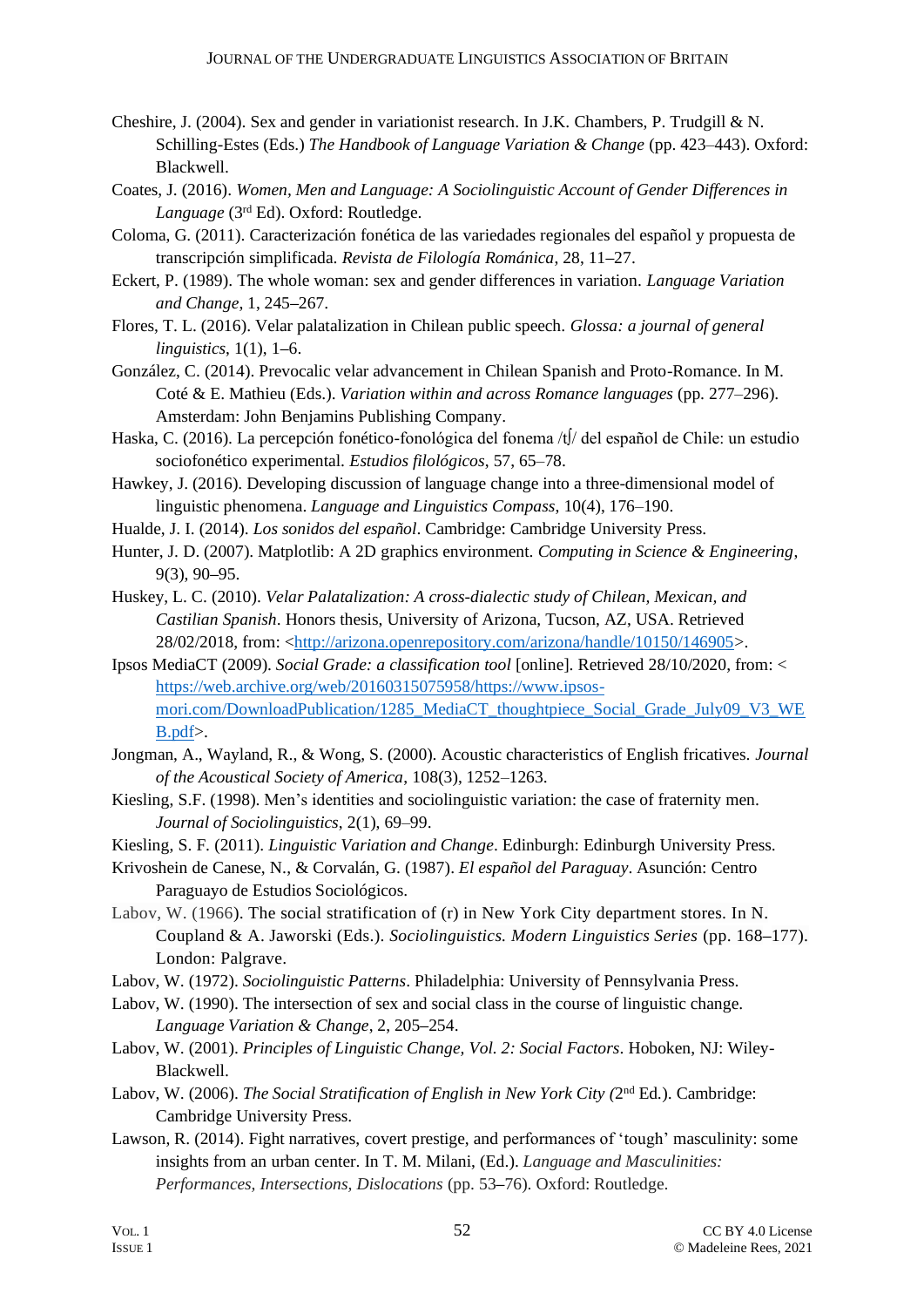- Cheshire, J. (2004). Sex and gender in variationist research. In J.K. Chambers, P. Trudgill & N. Schilling-Estes (Eds.) *The Handbook of Language Variation & Change* (pp. 423–443). Oxford: Blackwell.
- Coates, J. (2016). *Women, Men and Language: A Sociolinguistic Account of Gender Differences in*  Language (3<sup>rd</sup> Ed). Oxford: Routledge.
- Coloma, G. (2011). Caracterización fonética de las variedades regionales del español y propuesta de transcripción simplificada. *Revista de Filología Románica*, 28, 11**–**27.
- Eckert, P. (1989). The whole woman: sex and gender differences in variation. *Language Variation and Change*, 1, 245**–**267.
- Flores, T. L. (2016). Velar palatalization in Chilean public speech. *Glossa: a journal of general linguistics*, 1(1), 1**–**6.
- González, C. (2014). Prevocalic velar advancement in Chilean Spanish and Proto-Romance. In M. Coté & E. Mathieu (Eds.). *Variation within and across Romance languages* (pp. 277–296). Amsterdam: John Benjamins Publishing Company.
- Haska, C. (2016). La percepción fonético-fonológica del fonema /t∫/ del español de Chile: un estudio sociofonético experimental. *Estudios filológicos*, 57, 65–78.
- Hawkey, J. (2016). Developing discussion of language change into a three-dimensional model of linguistic phenomena. *Language and Linguistics Compass*, 10(4), 176–190.
- Hualde, J. I. (2014). *Los sonidos del español*. Cambridge: Cambridge University Press.
- Hunter, J. D. (2007). Matplotlib: A 2D graphics environment. *Computing in Science & Engineering*, 9(3), 90**–**95.
- Huskey, L. C. (2010). *Velar Palatalization: A cross-dialectic study of Chilean, Mexican, and Castilian Spanish*. Honors thesis, University of Arizona, Tucson, AZ, USA. Retrieved 28/02/2018, from: [<http://arizona.openrepository.com/arizona/handle/10150/146905>](http://arizona.openrepository.com/arizona/handle/10150/146905).
- Ipsos MediaCT (2009). *Social Grade: a classification tool* [online]. Retrieved 28/10/2020, from: < [https://web.archive.org/web/20160315075958/https://www.ipsos](https://web.archive.org/web/20160315075958/https:/www.ipsos-mori.com/DownloadPublication/1285_MediaCT_thoughtpiece_Social_Grade_July09_V3_WEB.pdf)[mori.com/DownloadPublication/1285\\_MediaCT\\_thoughtpiece\\_Social\\_Grade\\_July09\\_V3\\_WE](https://web.archive.org/web/20160315075958/https:/www.ipsos-mori.com/DownloadPublication/1285_MediaCT_thoughtpiece_Social_Grade_July09_V3_WEB.pdf) [B.pdf>](https://web.archive.org/web/20160315075958/https:/www.ipsos-mori.com/DownloadPublication/1285_MediaCT_thoughtpiece_Social_Grade_July09_V3_WEB.pdf).
- Jongman, A., Wayland, R., & Wong, S. (2000). Acoustic characteristics of English fricatives. *Journal of the Acoustical Society of America*, 108(3), 1252–1263.
- Kiesling, S.F. (1998). Men's identities and sociolinguistic variation: the case of fraternity men. *Journal of Sociolinguistics*, 2(1), 69–99.
- Kiesling, S. F. (2011). *Linguistic Variation and Change*. Edinburgh: Edinburgh University Press.
- Krivoshein de Canese, N., & Corvalán, G. (1987). *El español del Paraguay*. Asunción: Centro Paraguayo de Estudios Sociológicos.
- Labov, W. (1966). The social stratification of (r) in New York City department stores. In N. Coupland & A. Jaworski (Eds.). *Sociolinguistics. Modern Linguistics Series* (pp. 168**–**177). London: Palgrave.
- Labov, W. (1972). *Sociolinguistic Patterns*. Philadelphia: University of Pennsylvania Press.
- Labov, W. (1990). The intersection of sex and social class in the course of linguistic change. *Language Variation & Change*, 2, 205**–**254.
- Labov, W. (2001). *Principles of Linguistic Change, Vol. 2: Social Factors*. Hoboken, NJ: Wiley-Blackwell.
- Labov, W. (2006). *The Social Stratification of English in New York City* (2<sup>nd</sup> Ed.). Cambridge: Cambridge University Press.
- Lawson, R. (2014). Fight narratives, covert prestige, and performances of 'tough' masculinity: some insights from an urban center. In T. M. Milani, (Ed.). *Language and Masculinities: Performances, Intersections, Dislocations* (pp. 53**–**76). Oxford: Routledge.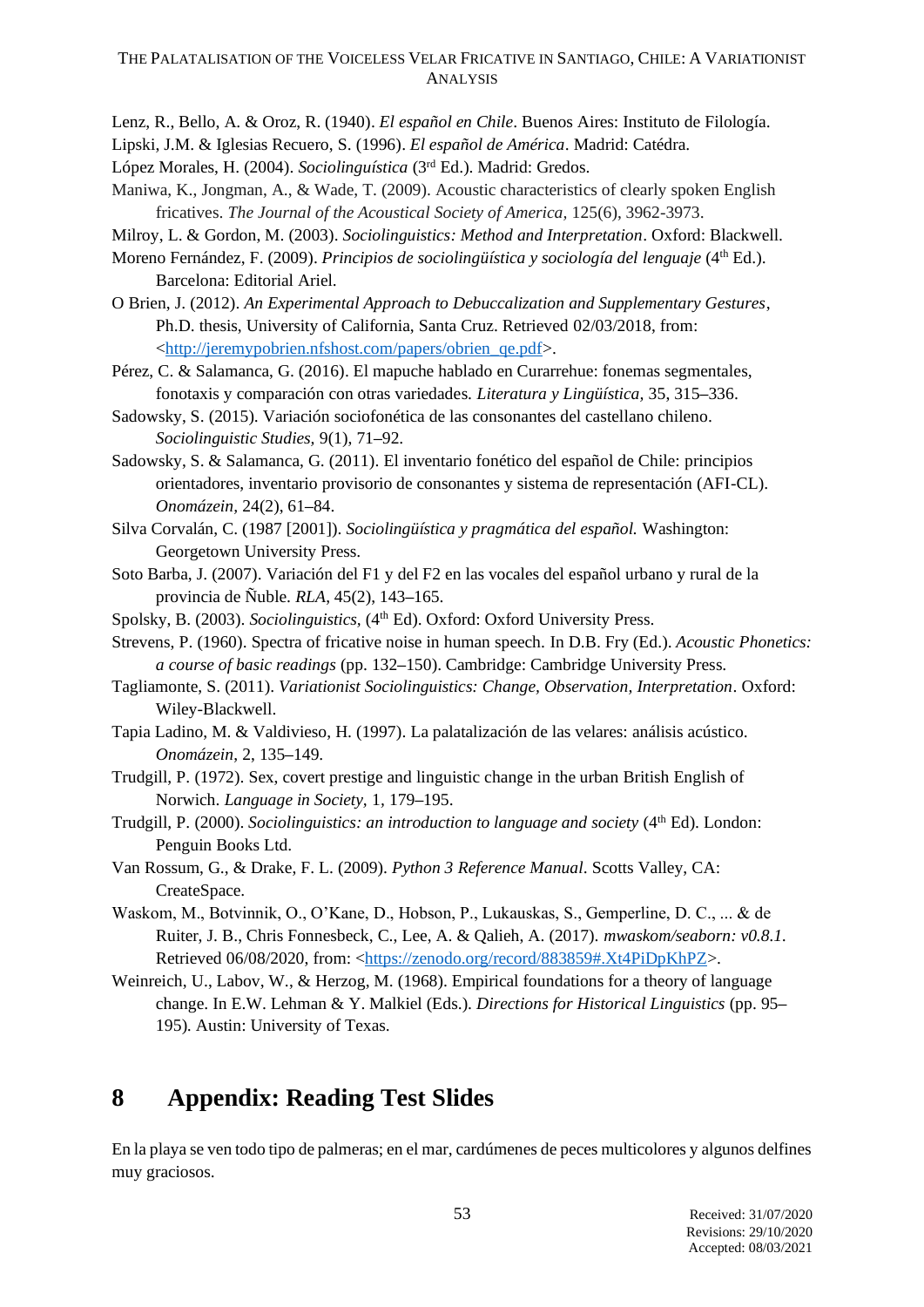- Lenz, R., Bello, A. & Oroz, R. (1940). *El español en Chile*. Buenos Aires: Instituto de Filología.
- Lipski, J.M. & Iglesias Recuero, S. (1996). *El español de América*. Madrid: Catédra.
- López Morales, H. (2004). *Sociolinguística* (3rd Ed.). Madrid: Gredos.
- Maniwa, K., Jongman, A., & Wade, T. (2009). Acoustic characteristics of clearly spoken English fricatives. *The Journal of the Acoustical Society of America,* 125(6), 3962-3973.
- Milroy, L. & Gordon, M. (2003). *Sociolinguistics: Method and Interpretation*. Oxford: Blackwell.
- Moreno Fernández, F. (2009). *Principios de sociolingüística y sociología del lenguaje* (4th Ed.). Barcelona: Editorial Ariel.
- O Brien, J. (2012). *An Experimental Approach to Debuccalization and Supplementary Gestures*, Ph.D. thesis, University of California, Santa Cruz. Retrieved 02/03/2018, from: [<http://jeremypobrien.nfshost.com/papers/obrien\\_qe.pdf>](http://jeremypobrien.nfshost.com/papers/obrien_qe.pdf).
- Pérez, C. & Salamanca, G. (2016). El mapuche hablado en Curarrehue: fonemas segmentales, fonotaxis y comparación con otras variedades. *Literatura y Lingüística,* 35, 315**–**336.
- Sadowsky, S. (2015). Variación sociofonética de las consonantes del castellano chileno. *Sociolinguistic Studies,* 9(1), 71**–**92.
- Sadowsky, S. & Salamanca, G. (2011). El inventario fonético del español de Chile: principios orientadores, inventario provisorio de consonantes y sistema de representación (AFI-CL). *Onomázein,* 24(2), 61**–**84.
- Silva Corvalán, C. (1987 [2001]). *Sociolingüística y pragmática del español.* Washington: Georgetown University Press.
- Soto Barba, J. (2007). Variación del F1 y del F2 en las vocales del español urbano y rural de la provincia de Ñuble. *RLA*, 45(2), 143**–**165.
- Spolsky, B. (2003). Sociolinguistics, (4<sup>th</sup> Ed). Oxford: Oxford University Press.
- Strevens, P. (1960). Spectra of fricative noise in human speech. In D.B. Fry (Ed.). *Acoustic Phonetics: a course of basic readings* (pp. 132**–**150). Cambridge: Cambridge University Press.
- Tagliamonte, S. (2011). *Variationist Sociolinguistics: Change, Observation, Interpretation*. Oxford: Wiley-Blackwell.
- Tapia Ladino, M. & Valdivieso, H. (1997). La palatalización de las velares: análisis acústico. *Onomázein*, 2, 135**–**149.
- Trudgill, P. (1972). Sex, covert prestige and linguistic change in the urban British English of Norwich. *Language in Society,* 1*,* 179**–**195.
- Trudgill, P. (2000). Sociolinguistics: an introduction to language and society (4<sup>th</sup> Ed). London: Penguin Books Ltd.
- Van Rossum, G., & Drake, F. L. (2009). *Python 3 Reference Manual*. Scotts Valley, CA: CreateSpace.
- Waskom, M., Botvinnik, O., O'Kane, D., Hobson, P., Lukauskas, S., Gemperline, D. C., ... & de Ruiter, J. B., Chris Fonnesbeck, C., Lee, A. & Qalieh, A. (2017). *mwaskom/seaborn: v0.8.1.* Retrieved 06/08/2020, from: [<https://zenodo.org/record/883859#.Xt4PiDpKhPZ>](https://zenodo.org/record/883859#.Xt4PiDpKhPZ).
- Weinreich, U., Labov, W., & Herzog, M. (1968). Empirical foundations for a theory of language change. In E.W. Lehman & Y. Malkiel (Eds.). *Directions for Historical Linguistics* (pp. 95**–** 195)*.* Austin: University of Texas.

## **8 Appendix: Reading Test Slides**

En la playa se ven todo tipo de palmeras; en el mar, cardúmenes de peces multicolores y algunos delfines muy graciosos.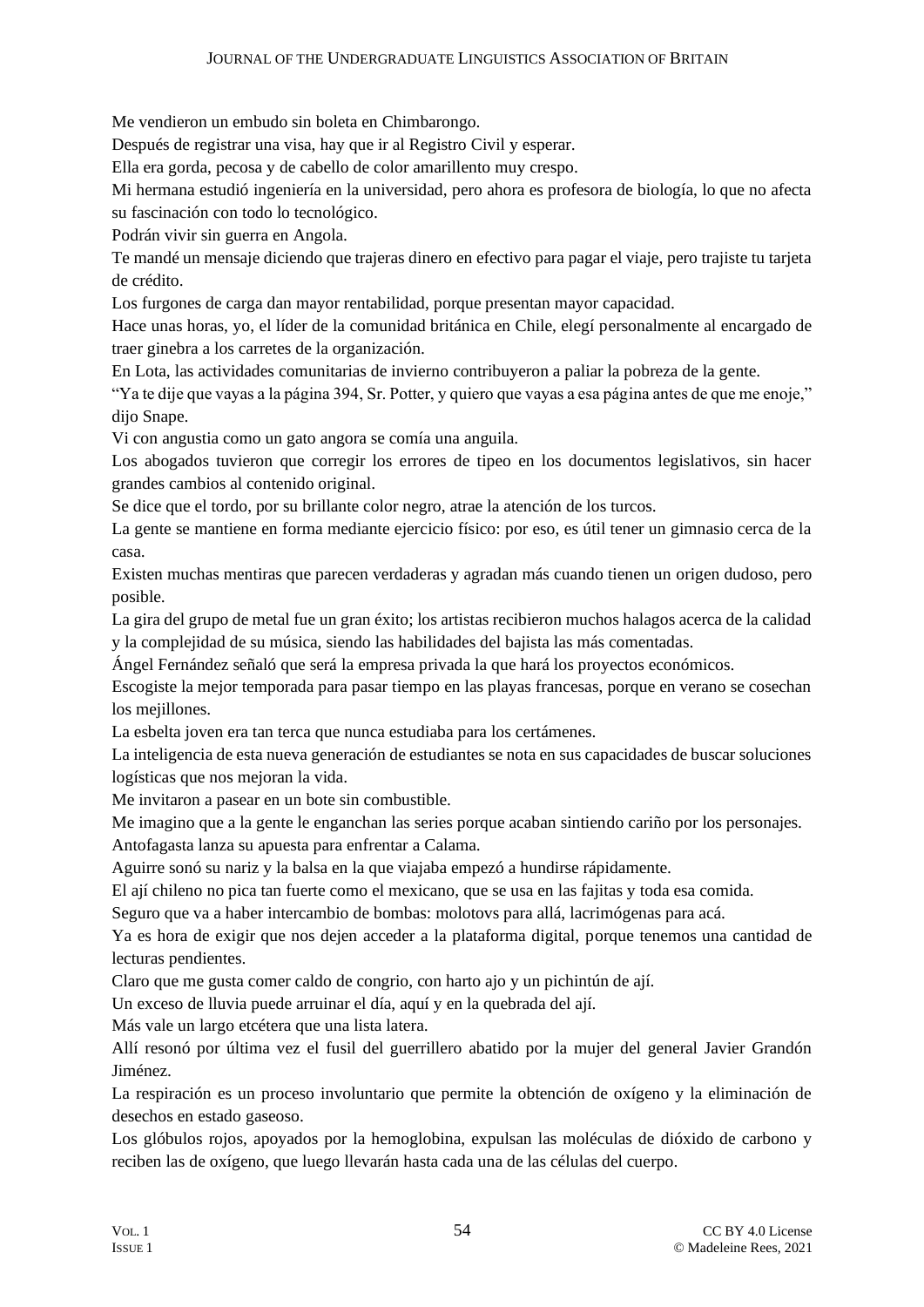Me vendieron un embudo sin boleta en Chimbarongo.

Después de registrar una visa, hay que ir al Registro Civil y esperar.

Ella era gorda, pecosa y de cabello de color amarillento muy crespo.

Mi hermana estudió ingeniería en la universidad, pero ahora es profesora de biología, lo que no afecta su fascinación con todo lo tecnológico.

Podrán vivir sin guerra en Angola.

Te mandé un mensaje diciendo que trajeras dinero en efectivo para pagar el viaje, pero trajiste tu tarjeta de crédito.

Los furgones de carga dan mayor rentabilidad, porque presentan mayor capacidad.

Hace unas horas, yo, el líder de la comunidad británica en Chile, elegí personalmente al encargado de traer ginebra a los carretes de la organización.

En Lota, las actividades comunitarias de invierno contribuyeron a paliar la pobreza de la gente.

"Ya te dije que vayas a la página 394, Sr. Potter, y quiero que vayas a esa página antes de que me enoje," dijo Snape.

Vi con angustia como un gato angora se comía una anguila.

Los abogados tuvieron que corregir los errores de tipeo en los documentos legislativos, sin hacer grandes cambios al contenido original.

Se dice que el tordo, por su brillante color negro, atrae la atención de los turcos.

La gente se mantiene en forma mediante ejercicio físico: por eso, es útil tener un gimnasio cerca de la casa.

Existen muchas mentiras que parecen verdaderas y agradan más cuando tienen un origen dudoso, pero posible.

La gira del grupo de metal fue un gran éxito; los artistas recibieron muchos halagos acerca de la calidad y la complejidad de su música, siendo las habilidades del bajista las más comentadas.

Ángel Fernández señaló que será la empresa privada la que hará los proyectos económicos.

Escogiste la mejor temporada para pasar tiempo en las playas francesas, porque en verano se cosechan los meiillones.

La esbelta joven era tan terca que nunca estudiaba para los certámenes.

La inteligencia de esta nueva generación de estudiantes se nota en sus capacidades de buscar soluciones logísticas que nos mejoran la vida.

Me invitaron a pasear en un bote sin combustible.

Me imagino que a la gente le enganchan las series porque acaban sintiendo cariño por los personajes. Antofagasta lanza su apuesta para enfrentar a Calama.

Aguirre sonó su nariz y la balsa en la que viajaba empezó a hundirse rápidamente.

El ají chileno no pica tan fuerte como el mexicano, que se usa en las fajitas y toda esa comida.

Seguro que va a haber intercambio de bombas: molotovs para allá, lacrimógenas para acá.

Ya es hora de exigir que nos dejen acceder a la plataforma digital, porque tenemos una cantidad de lecturas pendientes.

Claro que me gusta comer caldo de congrio, con harto ajo y un pichintún de ají.

Un exceso de lluvia puede arruinar el día, aquí y en la quebrada del ají.

Más vale un largo etcétera que una lista latera.

Allí resonó por última vez el fusil del guerrillero abatido por la mujer del general Javier Grandón Jiménez.

La respiración es un proceso involuntario que permite la obtención de oxígeno y la eliminación de desechos en estado gaseoso.

Los glóbulos rojos, apoyados por la hemoglobina, expulsan las moléculas de dióxido de carbono y reciben las de oxígeno, que luego llevarán hasta cada una de las células del cuerpo.